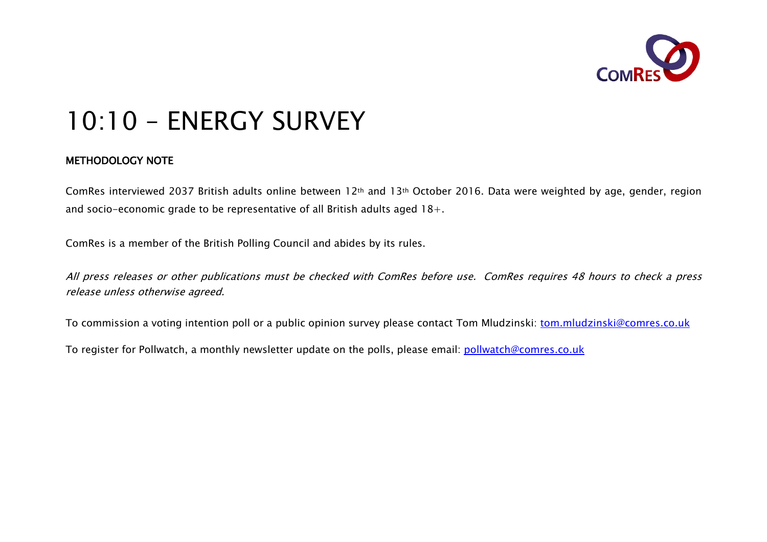

# 10:10 – ENERGY SURVEY

#### METHODOLOGY NOTE

ComRes interviewed 2037 British adults online between 12th and 13th October 2016. Data were weighted by age, gender, region and socio-economic grade to be representative of all British adults aged 18+.

ComRes is a member of the British Polling Council and abides by its rules.

All press releases or other publications must be checked with ComRes before use. ComRes requires 48 hours to check a press release unless otherwise agreed.

To commission a voting intention poll or a public opinion survey please contact Tom Mludzinski: tom.mludzinski@comres.co.uk

To register for Pollwatch, a monthly newsletter update on the polls, please email: pollwatch@comres.co.uk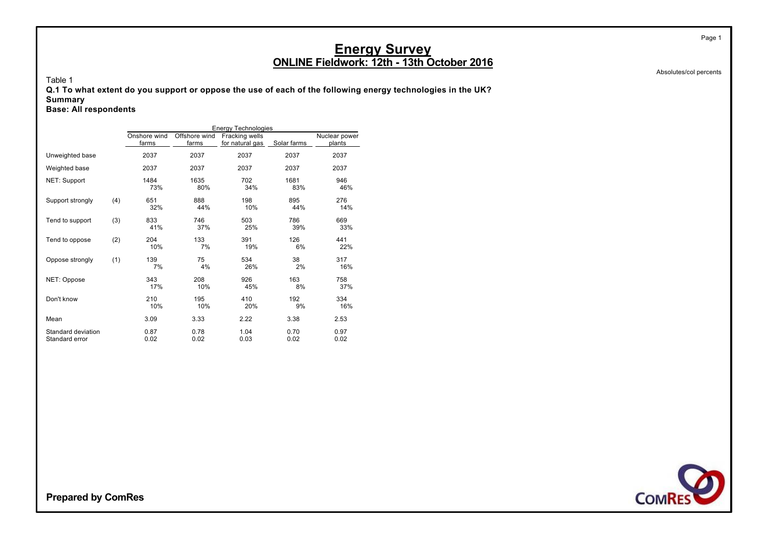Absolutes/col percents

Page 1

Table 1

**Q.1 To what extent do you support or oppose the use of each of the following energy technologies in the UK? Summary**

**Base: All respondents**

|                                      |     |                       |                        | <b>Energy Technologies</b>        |              |                         |
|--------------------------------------|-----|-----------------------|------------------------|-----------------------------------|--------------|-------------------------|
|                                      |     | Onshore wind<br>farms | Offshore wind<br>farms | Fracking wells<br>for natural gas | Solar farms  | Nuclear power<br>plants |
| Unweighted base                      |     | 2037                  | 2037                   | 2037                              | 2037         | 2037                    |
| Weighted base                        |     | 2037                  | 2037                   | 2037                              | 2037         | 2037                    |
| NET: Support                         |     | 1484<br>73%           | 1635<br>80%            | 702<br>34%                        | 1681<br>83%  | 946<br>46%              |
| Support strongly                     | (4) | 651<br>32%            | 888<br>44%             | 198<br>10%                        | 895<br>44%   | 276<br>14%              |
| Tend to support                      | (3) | 833<br>41%            | 746<br>37%             | 503<br>25%                        | 786<br>39%   | 669<br>33%              |
| Tend to oppose                       | (2) | 204<br>10%            | 133<br>7%              | 391<br>19%                        | 126<br>6%    | 441<br>22%              |
| Oppose strongly                      | (1) | 139<br>7%             | 75<br>4%               | 534<br>26%                        | 38<br>2%     | 317<br>16%              |
| NET: Oppose                          |     | 343<br>17%            | 208<br>10%             | 926<br>45%                        | 163<br>8%    | 758<br>37%              |
| Don't know                           |     | 210<br>10%            | 195<br>10%             | 410<br>20%                        | 192<br>9%    | 334<br>16%              |
| Mean                                 |     | 3.09                  | 3.33                   | 2.22                              | 3.38         | 2.53                    |
| Standard deviation<br>Standard error |     | 0.87<br>0.02          | 0.78<br>0.02           | 1.04<br>0.03                      | 0.70<br>0.02 | 0.97<br>0.02            |

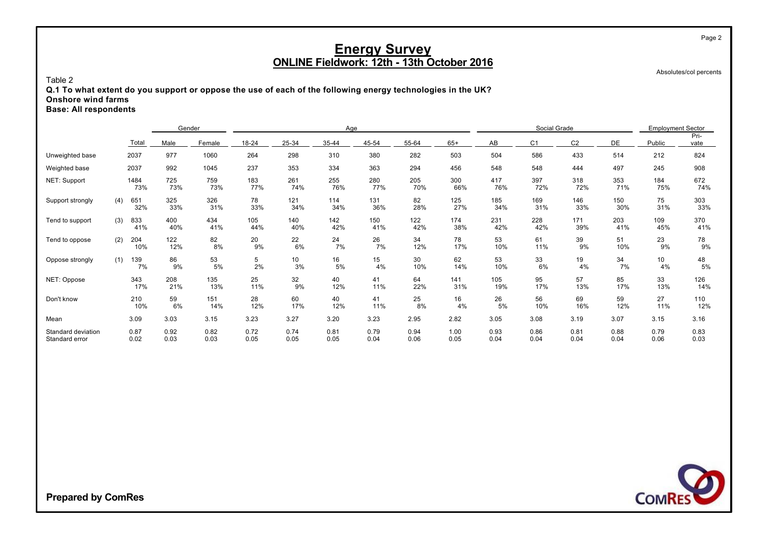Absolutes/col percents

#### Table 2

**Q.1 To what extent do you support or oppose the use of each of the following energy technologies in the UK? Onshore wind farms**

**Base: All respondents**

|                                      |     |              | Gender       |              |              |              | Age          |              |              |              |              | Social Grade   |                | <b>Employment Sector</b> |                       |              |
|--------------------------------------|-----|--------------|--------------|--------------|--------------|--------------|--------------|--------------|--------------|--------------|--------------|----------------|----------------|--------------------------|-----------------------|--------------|
|                                      |     | Total        | Male         | Female       | 18-24        | 25-34        | 35-44        | 45-54        | 55-64        | $65+$        | AB           | C <sub>1</sub> | C <sub>2</sub> | DE                       | Public                | Pri-<br>vate |
| Unweighted base                      |     | 2037         | 977          | 1060         | 264          | 298          | 310          | 380          | 282          | 503          | 504          | 586            | 433            | 514                      | 212                   | 824          |
| Weighted base                        |     | 2037         | 992          | 1045         | 237          | 353          | 334          | 363          | 294          | 456          | 548          | 548            | 444            | 497                      | 245                   | 908          |
| NET: Support                         |     | 1484<br>73%  | 725<br>73%   | 759<br>73%   | 183<br>77%   | 261<br>74%   | 255<br>76%   | 280<br>77%   | 205<br>70%   | 300<br>66%   | 417<br>76%   | 397<br>72%     | 318<br>72%     | 353<br>71%               | 184<br>75%            | 672<br>74%   |
| Support strongly                     | (4) | 651<br>32%   | 325<br>33%   | 326<br>31%   | 78<br>33%    | 121<br>34%   | 114<br>34%   | 131<br>36%   | 82<br>28%    | 125<br>27%   | 185<br>34%   | 169<br>31%     | 146<br>33%     | 150<br>30%               | 75<br>31%             | 303<br>33%   |
| Tend to support                      | (3) | 833<br>41%   | 400<br>40%   | 434<br>41%   | 105<br>44%   | 140<br>40%   | 142<br>42%   | 150<br>41%   | 122<br>42%   | 174<br>38%   | 231<br>42%   | 228<br>42%     | 171<br>39%     | 203<br>41%               | 109<br>45%            | 370<br>41%   |
| Tend to oppose                       | (2) | 204<br>10%   | 122<br>12%   | 82<br>8%     | 20<br>9%     | 22<br>6%     | 24<br>7%     | 26<br>7%     | 34<br>12%    | 78<br>17%    | 53<br>10%    | 61<br>11%      | 39<br>9%       | 51<br>10%                | 23<br>9%              | 78<br>9%     |
| Oppose strongly                      | (1) | 139<br>7%    | 86<br>9%     | 53<br>5%     | 5<br>2%      | 10<br>3%     | 16<br>5%     | 15<br>4%     | 30<br>10%    | 62<br>14%    | 53<br>10%    | 33<br>6%       | 19<br>4%       | 34<br>7%                 | 10 <sup>1</sup><br>4% | 48<br>5%     |
| NET: Oppose                          |     | 343<br>17%   | 208<br>21%   | 135<br>13%   | 25<br>11%    | 32<br>9%     | 40<br>12%    | 41<br>11%    | 64<br>22%    | 141<br>31%   | 105<br>19%   | 95<br>17%      | 57<br>13%      | 85<br>17%                | 33<br>13%             | 126<br>14%   |
| Don't know                           |     | 210<br>10%   | 59<br>6%     | 151<br>14%   | 28<br>12%    | 60<br>17%    | 40<br>12%    | 41<br>11%    | 25<br>8%     | 16<br>4%     | 26<br>5%     | 56<br>10%      | 69<br>16%      | 59<br>12%                | 27<br>11%             | 110<br>12%   |
| Mean                                 |     | 3.09         | 3.03         | 3.15         | 3.23         | 3.27         | 3.20         | 3.23         | 2.95         | 2.82         | 3.05         | 3.08           | 3.19           | 3.07                     | 3.15                  | 3.16         |
| Standard deviation<br>Standard error |     | 0.87<br>0.02 | 0.92<br>0.03 | 0.82<br>0.03 | 0.72<br>0.05 | 0.74<br>0.05 | 0.81<br>0.05 | 0.79<br>0.04 | 0.94<br>0.06 | 1.00<br>0.05 | 0.93<br>0.04 | 0.86<br>0.04   | 0.81<br>0.04   | 0.88<br>0.04             | 0.79<br>0.06          | 0.83<br>0.03 |

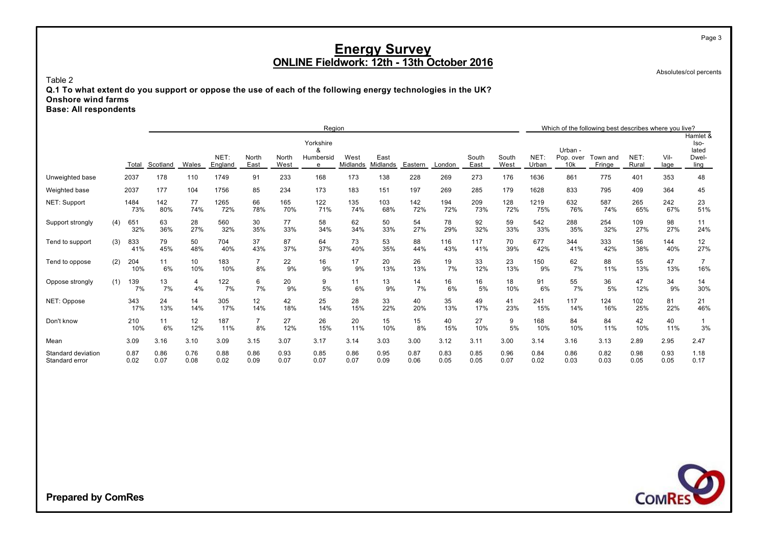Absolutes/col percents

Page 3

Table 2

**Q.1 To what extent do you support or oppose the use of each of the following energy technologies in the UK? Onshore wind farms Base: All respondents**

|                                      |     |              |              |              |                 |                      |               | Region                           |                  |                  |              |              |               |               |               |                             | Which of the following best describes where you live? |               |              |                                            |
|--------------------------------------|-----|--------------|--------------|--------------|-----------------|----------------------|---------------|----------------------------------|------------------|------------------|--------------|--------------|---------------|---------------|---------------|-----------------------------|-------------------------------------------------------|---------------|--------------|--------------------------------------------|
|                                      |     | Total        | Scotland     | Wales        | NET:<br>England | North<br>East        | North<br>West | Yorkshire<br>&<br>Humbersid<br>e | West<br>Midlands | East<br>Midlands | Eastern      | London       | South<br>East | South<br>West | NET:<br>Urban | Urban -<br>Pop. over<br>10k | Town and<br><b>Fringe</b>                             | NET:<br>Rural | Vil-<br>lage | Hamlet &<br>Iso-<br>lated<br>Dwel-<br>ling |
| Unweighted base                      |     | 2037         | 178          | 110          | 1749            | 91                   | 233           | 168                              | 173              | 138              | 228          | 269          | 273           | 176           | 1636          | 861                         | 775                                                   | 401           | 353          | 48                                         |
| Weighted base                        |     | 2037         | 177          | 104          | 1756            | 85                   | 234           | 173                              | 183              | 151              | 197          | 269          | 285           | 179           | 1628          | 833                         | 795                                                   | 409           | 364          | 45                                         |
| NET: Support                         |     | 1484<br>73%  | 142<br>80%   | 77<br>74%    | 1265<br>72%     | 66<br>78%            | 165<br>70%    | 122<br>71%                       | 135<br>74%       | 103<br>68%       | 142<br>72%   | 194<br>72%   | 209<br>73%    | 128<br>72%    | 1219<br>75%   | 632<br>76%                  | 587<br>74%                                            | 265<br>65%    | 242<br>67%   | 23<br>51%                                  |
| Support strongly                     | (4) | 651<br>32%   | 63<br>36%    | 28<br>27%    | 560<br>32%      | 30<br>35%            | 77<br>33%     | 58<br>34%                        | 62<br>34%        | 50<br>33%        | 54<br>27%    | 78<br>29%    | 92<br>32%     | 59<br>33%     | 542<br>33%    | 288<br>35%                  | 254<br>32%                                            | 109<br>27%    | 98<br>27%    | 11<br>24%                                  |
| Tend to support                      | (3) | 833<br>41%   | 79<br>45%    | 50<br>48%    | 704<br>40%      | 37<br>43%            | 87<br>37%     | 64<br>37%                        | 73<br>40%        | 53<br>35%        | 88<br>44%    | 116<br>43%   | 117<br>41%    | 70<br>39%     | 677<br>42%    | 344<br>41%                  | 333<br>42%                                            | 156<br>38%    | 144<br>40%   | 12<br>27%                                  |
| Tend to oppose                       | (2) | 204<br>10%   | 11<br>6%     | 10<br>10%    | 183<br>10%      | $\overline{7}$<br>8% | 22<br>9%      | 16<br>9%                         | 17<br>9%         | 20<br>13%        | 26<br>13%    | 19<br>7%     | 33<br>12%     | 23<br>13%     | 150<br>9%     | 62<br>7%                    | 88<br>11%                                             | 55<br>13%     | 47<br>13%    | $\overline{7}$<br>16%                      |
| Oppose strongly                      | (1) | 139<br>7%    | 13<br>7%     | 4<br>4%      | 122<br>7%       | 6<br>7%              | 20<br>9%      | 9<br>5%                          | 11<br>6%         | 13<br>9%         | 14<br>7%     | 16<br>6%     | 16<br>5%      | 18<br>10%     | 91<br>6%      | 55<br>7%                    | 36<br>5%                                              | 47<br>12%     | 34<br>9%     | 14<br>30%                                  |
| NET: Oppose                          |     | 343<br>17%   | 24<br>13%    | 14<br>14%    | 305<br>17%      | 12<br>14%            | 42<br>18%     | 25<br>14%                        | 28<br>15%        | 33<br>22%        | 40<br>20%    | 35<br>13%    | 49<br>17%     | 41<br>23%     | 241<br>15%    | 117<br>14%                  | 124<br>16%                                            | 102<br>25%    | 81<br>22%    | 21<br>46%                                  |
| Don't know                           |     | 210<br>10%   | 11<br>6%     | 12<br>12%    | 187<br>11%      | $\overline{7}$<br>8% | 27<br>12%     | 26<br>15%                        | 20<br>11%        | 15<br>10%        | 15<br>8%     | 40<br>15%    | 27<br>10%     | 9<br>5%       | 168<br>10%    | 84<br>10%                   | 84<br>11%                                             | 42<br>10%     | 40<br>11%    | 3%                                         |
| Mean                                 |     | 3.09         | 3.16         | 3.10         | 3.09            | 3.15                 | 3.07          | 3.17                             | 3.14             | 3.03             | 3.00         | 3.12         | 3.11          | 3.00          | 3.14          | 3.16                        | 3.13                                                  | 2.89          | 2.95         | 2.47                                       |
| Standard deviation<br>Standard error |     | 0.87<br>0.02 | 0.86<br>0.07 | 0.76<br>0.08 | 0.88<br>0.02    | 0.86<br>0.09         | 0.93<br>0.07  | 0.85<br>0.07                     | 0.86<br>0.07     | 0.95<br>0.09     | 0.87<br>0.06 | 0.83<br>0.05 | 0.85<br>0.05  | 0.96<br>0.07  | 0.84<br>0.02  | 0.86<br>0.03                | 0.82<br>0.03                                          | 0.98<br>0.05  | 0.93<br>0.05 | 1.18<br>0.17                               |

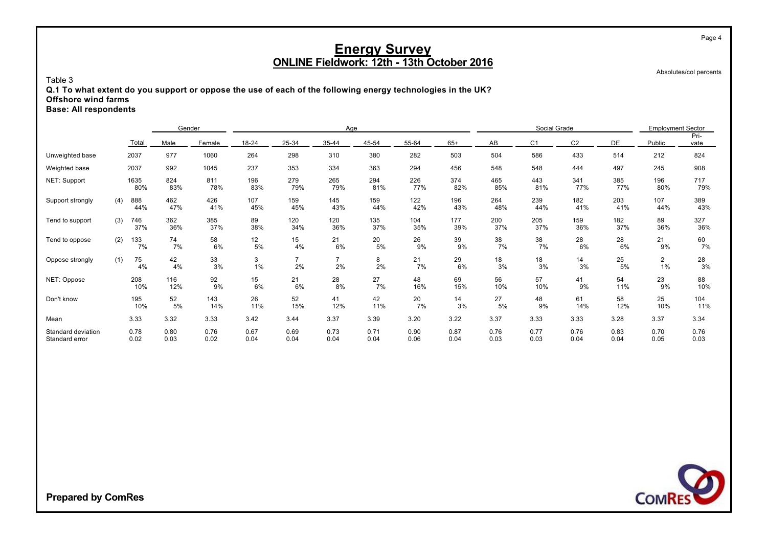Absolutes/col percents

Page 4

#### Table 3

**Q.1 To what extent do you support or oppose the use of each of the following energy technologies in the UK? Offshore wind farms**

**Base: All respondents**

|                                      |     |              | Gender       |              |                          |                      | Age          |              |              |              |              | Social Grade   |                | <b>Employment Sector</b> |                      |              |
|--------------------------------------|-----|--------------|--------------|--------------|--------------------------|----------------------|--------------|--------------|--------------|--------------|--------------|----------------|----------------|--------------------------|----------------------|--------------|
|                                      |     | Total        | Male         | Female       | 18-24                    | 25-34                | 35-44        | 45-54        | 55-64        | $65+$        | AB           | C <sub>1</sub> | C <sub>2</sub> | DE                       | Public               | Pri-<br>vate |
| Unweighted base                      |     | 2037         | 977          | 1060         | 264                      | 298                  | 310          | 380          | 282          | 503          | 504          | 586            | 433            | 514                      | 212                  | 824          |
| Weighted base                        |     | 2037         | 992          | 1045         | 237                      | 353                  | 334          | 363          | 294          | 456          | 548          | 548            | 444            | 497                      | 245                  | 908          |
| NET: Support                         |     | 1635<br>80%  | 824<br>83%   | 811<br>78%   | 196<br>83%               | 279<br>79%           | 265<br>79%   | 294<br>81%   | 226<br>77%   | 374<br>82%   | 465<br>85%   | 443<br>81%     | 341<br>77%     | 385<br>77%               | 196<br>80%           | 717<br>79%   |
| Support strongly                     | (4) | 888<br>44%   | 462<br>47%   | 426<br>41%   | 107<br>45%               | 159<br>45%           | 145<br>43%   | 159<br>44%   | 122<br>42%   | 196<br>43%   | 264<br>48%   | 239<br>44%     | 182<br>41%     | 203<br>41%               | 107<br>44%           | 389<br>43%   |
| Tend to support                      | (3) | 746<br>37%   | 362<br>36%   | 385<br>37%   | 89<br>38%                | 120<br>34%           | 120<br>36%   | 135<br>37%   | 104<br>35%   | 177<br>39%   | 200<br>37%   | 205<br>37%     | 159<br>36%     | 182<br>37%               | 89<br>36%            | 327<br>36%   |
| Tend to oppose                       | (2) | 133<br>7%    | 74<br>7%     | 58<br>6%     | 12 <sub>2</sub><br>$5\%$ | 15<br>4%             | 21<br>6%     | 20<br>5%     | 26<br>9%     | 39<br>9%     | 38<br>7%     | 38<br>7%       | 28<br>6%       | 28<br>6%                 | 21<br>9%             | 60<br>7%     |
| Oppose strongly                      | (1) | 75<br>4%     | 42<br>4%     | 33<br>3%     | 3<br>1%                  | $\overline{7}$<br>2% | 7<br>2%      | 8<br>2%      | 21<br>7%     | 29<br>6%     | 18<br>3%     | 18<br>3%       | 14<br>3%       | 25<br>5%                 | $\overline{2}$<br>1% | 28<br>3%     |
| NET: Oppose                          |     | 208<br>10%   | 116<br>12%   | 92<br>9%     | 15<br>6%                 | 21<br>6%             | 28<br>8%     | 27<br>7%     | 48<br>16%    | 69<br>15%    | 56<br>10%    | 57<br>10%      | 41<br>9%       | 54<br>11%                | 23<br>9%             | 88<br>10%    |
| Don't know                           |     | 195<br>10%   | 52<br>5%     | 143<br>14%   | 26<br>11%                | 52<br>15%            | 41<br>12%    | 42<br>11%    | 20<br>7%     | 14<br>3%     | 27<br>5%     | 48<br>9%       | 61<br>14%      | 58<br>12%                | 25<br>10%            | 104<br>11%   |
| Mean                                 |     | 3.33         | 3.32         | 3.33         | 3.42                     | 3.44                 | 3.37         | 3.39         | 3.20         | 3.22         | 3.37         | 3.33           | 3.33           | 3.28                     | 3.37                 | 3.34         |
| Standard deviation<br>Standard error |     | 0.78<br>0.02 | 0.80<br>0.03 | 0.76<br>0.02 | 0.67<br>0.04             | 0.69<br>0.04         | 0.73<br>0.04 | 0.71<br>0.04 | 0.90<br>0.06 | 0.87<br>0.04 | 0.76<br>0.03 | 0.77<br>0.03   | 0.76<br>0.04   | 0.83<br>0.04             | 0.70<br>0.05         | 0.76<br>0.03 |

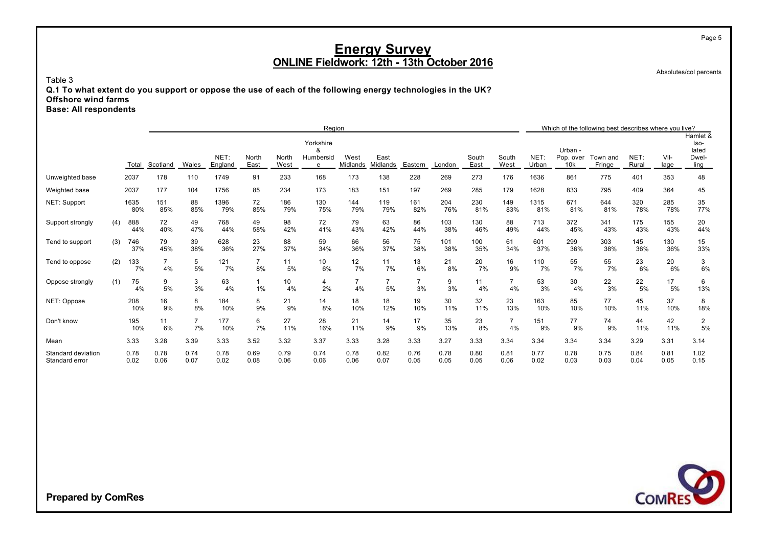Absolutes/col percents

Page 5

Table 3

**Q.1 To what extent do you support or oppose the use of each of the following energy technologies in the UK? Offshore wind farms**

**Base: All respondents**

|                                      |     |              |              |                      |                 |                      |               | Region                           |                  |                      |                      |              |               |                      |               |                             | Which of the following best describes where you live? |               |              |                                            |
|--------------------------------------|-----|--------------|--------------|----------------------|-----------------|----------------------|---------------|----------------------------------|------------------|----------------------|----------------------|--------------|---------------|----------------------|---------------|-----------------------------|-------------------------------------------------------|---------------|--------------|--------------------------------------------|
|                                      |     | Total        | Scotland     | Wales                | NET:<br>England | North<br>East        | North<br>West | Yorkshire<br>α<br>Humbersid<br>e | West<br>Midlands | East<br>Midlands     | Eastern              | London       | South<br>East | South<br>West        | NET:<br>Urban | Urban -<br>Pop. over<br>10k | Town and<br>Fringe                                    | NET:<br>Rural | Vil-<br>lage | Hamlet &<br>lso-<br>lated<br>Dwel-<br>ling |
| Unweighted base                      |     | 2037         | 178          | 110                  | 1749            | 91                   | 233           | 168                              | 173              | 138                  | 228                  | 269          | 273           | 176                  | 1636          | 861                         | 775                                                   | 401           | 353          | 48                                         |
| Weighted base                        |     | 2037         | 177          | 104                  | 1756            | 85                   | 234           | 173                              | 183              | 151                  | 197                  | 269          | 285           | 179                  | 1628          | 833                         | 795                                                   | 409           | 364          | 45                                         |
| NET: Support                         |     | 1635<br>80%  | 151<br>85%   | 88<br>85%            | 1396<br>79%     | 72<br>85%            | 186<br>79%    | 130<br>75%                       | 144<br>79%       | 119<br>79%           | 161<br>82%           | 204<br>76%   | 230<br>81%    | 149<br>83%           | 1315<br>81%   | 671<br>81%                  | 644<br>81%                                            | 320<br>78%    | 285<br>78%   | 35<br>77%                                  |
| Support strongly                     | (4) | 888<br>44%   | 72<br>40%    | 49<br>47%            | 768<br>44%      | 49<br>58%            | 98<br>42%     | 72<br>41%                        | 79<br>43%        | 63<br>42%            | 86<br>44%            | 103<br>38%   | 130<br>46%    | 88<br>49%            | 713<br>44%    | 372<br>45%                  | 341<br>43%                                            | 175<br>43%    | 155<br>43%   | 20<br>44%                                  |
| Tend to support                      | (3) | 746<br>37%   | 79<br>45%    | 39<br>38%            | 628<br>36%      | 23<br>27%            | 88<br>37%     | 59<br>34%                        | 66<br>36%        | 56<br>37%            | 75<br>38%            | 101<br>38%   | 100<br>35%    | 61<br>34%            | 601<br>37%    | 299<br>36%                  | 303<br>38%                                            | 145<br>36%    | 130<br>36%   | 15<br>33%                                  |
| Tend to oppose                       | (2) | 133<br>7%    | 4%           | 5<br>5%              | 121<br>7%       | $\overline{7}$<br>8% | 11<br>5%      | 10<br>6%                         | 12<br>7%         | 11<br>7%             | 13<br>6%             | 21<br>8%     | 20<br>7%      | 16<br>9%             | 110<br>7%     | 55<br>7%                    | 55<br>7%                                              | 23<br>6%      | 20<br>6%     | 3<br>6%                                    |
| Oppose strongly                      | (1) | 75<br>4%     | 9<br>5%      | 3<br>3%              | 63<br>4%        | $\mathbf{1}$<br>1%   | 10<br>4%      | 4<br>2%                          | 7<br>4%          | $\overline{7}$<br>5% | $\overline{7}$<br>3% | 9<br>3%      | 11<br>4%      | $\overline{7}$<br>4% | 53<br>3%      | 30<br>4%                    | 22<br>3%                                              | 22<br>5%      | 17<br>5%     | 6<br>13%                                   |
| NET: Oppose                          |     | 208<br>10%   | 16<br>9%     | 8<br>8%              | 184<br>10%      | 8<br>9%              | 21<br>9%      | 14<br>8%                         | 18<br>10%        | 18<br>12%            | 19<br>10%            | 30<br>11%    | 32<br>11%     | 23<br>13%            | 163<br>10%    | 85<br>10%                   | 77<br>10%                                             | 45<br>11%     | 37<br>10%    | 8<br>18%                                   |
| Don't know                           |     | 195<br>10%   | 11<br>6%     | $\overline{7}$<br>7% | 177<br>10%      | 6<br>7%              | 27<br>11%     | 28<br>16%                        | 21<br>11%        | 14<br>9%             | 17<br>9%             | 35<br>13%    | 23<br>8%      | $\overline{7}$<br>4% | 151<br>9%     | 77<br>9%                    | 74<br>9%                                              | 44<br>11%     | 42<br>11%    | $\overline{c}$<br>5%                       |
| Mean                                 |     | 3.33         | 3.28         | 3.39                 | 3.33            | 3.52                 | 3.32          | 3.37                             | 3.33             | 3.28                 | 3.33                 | 3.27         | 3.33          | 3.34                 | 3.34          | 3.34                        | 3.34                                                  | 3.29          | 3.31         | 3.14                                       |
| Standard deviation<br>Standard error |     | 0.78<br>0.02 | 0.78<br>0.06 | 0.74<br>0.07         | 0.78<br>0.02    | 0.69<br>0.08         | 0.79<br>0.06  | 0.74<br>0.06                     | 0.78<br>0.06     | 0.82<br>0.07         | 0.76<br>0.05         | 0.78<br>0.05 | 0.80<br>0.05  | 0.81<br>0.06         | 0.77<br>0.02  | 0.78<br>0.03                | 0.75<br>0.03                                          | 0.84<br>0.04  | 0.81<br>0.05 | 1.02<br>0.15                               |

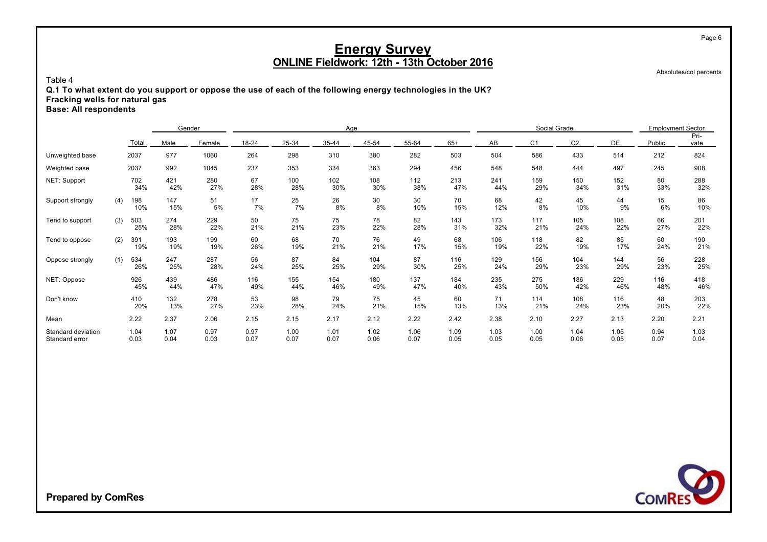Absolutes/col percents

Page 6

#### Table 4

**Q.1 To what extent do you support or oppose the use of each of the following energy technologies in the UK? Fracking wells for natural gas Base: All respondents**

|                                      |     |              | Gender       |              |              |              | Age          |              |              |              |              | Social Grade   |                |              | <b>Employment Sector</b> |              |
|--------------------------------------|-----|--------------|--------------|--------------|--------------|--------------|--------------|--------------|--------------|--------------|--------------|----------------|----------------|--------------|--------------------------|--------------|
|                                      |     | Total        | Male         | Female       | 18-24        | 25-34        | 35-44        | 45-54        | 55-64        | $65+$        | AB           | C <sub>1</sub> | C <sub>2</sub> | <b>DE</b>    | Public                   | Pri-<br>vate |
| Unweighted base                      |     | 2037         | 977          | 1060         | 264          | 298          | 310          | 380          | 282          | 503          | 504          | 586            | 433            | 514          | 212                      | 824          |
| Weighted base                        |     | 2037         | 992          | 1045         | 237          | 353          | 334          | 363          | 294          | 456          | 548          | 548            | 444            | 497          | 245                      | 908          |
| NET: Support                         |     | 702<br>34%   | 421<br>42%   | 280<br>27%   | 67<br>28%    | 100<br>28%   | 102<br>30%   | 108<br>30%   | 112<br>38%   | 213<br>47%   | 241<br>44%   | 159<br>29%     | 150<br>34%     | 152<br>31%   | 80<br>33%                | 288<br>32%   |
| Support strongly                     | (4) | 198<br>10%   | 147<br>15%   | 51<br>5%     | 17<br>7%     | 25<br>7%     | 26<br>8%     | 30<br>8%     | 30<br>10%    | 70<br>15%    | 68<br>12%    | 42<br>8%       | 45<br>10%      | 44<br>9%     | 15<br>6%                 | 86<br>10%    |
| Tend to support                      | (3) | 503<br>25%   | 274<br>28%   | 229<br>22%   | 50<br>21%    | 75<br>21%    | 75<br>23%    | 78<br>22%    | 82<br>28%    | 143<br>31%   | 173<br>32%   | 117<br>21%     | 105<br>24%     | 108<br>22%   | 66<br>27%                | 201<br>22%   |
| Tend to oppose                       | (2) | 391<br>19%   | 193<br>19%   | 199<br>19%   | 60<br>26%    | 68<br>19%    | 70<br>21%    | 76<br>21%    | 49<br>17%    | 68<br>15%    | 106<br>19%   | 118<br>22%     | 82<br>19%      | 85<br>17%    | 60<br>24%                | 190<br>21%   |
| Oppose strongly                      | (1) | 534<br>26%   | 247<br>25%   | 287<br>28%   | 56<br>24%    | 87<br>25%    | 84<br>25%    | 104<br>29%   | 87<br>30%    | 116<br>25%   | 129<br>24%   | 156<br>29%     | 104<br>23%     | 144<br>29%   | 56<br>23%                | 228<br>25%   |
| NET: Oppose                          |     | 926<br>45%   | 439<br>44%   | 486<br>47%   | 116<br>49%   | 155<br>44%   | 154<br>46%   | 180<br>49%   | 137<br>47%   | 184<br>40%   | 235<br>43%   | 275<br>50%     | 186<br>42%     | 229<br>46%   | 116<br>48%               | 418<br>46%   |
| Don't know                           |     | 410<br>20%   | 132<br>13%   | 278<br>27%   | 53<br>23%    | 98<br>28%    | 79<br>24%    | 75<br>21%    | 45<br>15%    | 60<br>13%    | 71<br>13%    | 114<br>21%     | 108<br>24%     | 116<br>23%   | 48<br>20%                | 203<br>22%   |
| Mean                                 |     | 2.22         | 2.37         | 2.06         | 2.15         | 2.15         | 2.17         | 2.12         | 2.22         | 2.42         | 2.38         | 2.10           | 2.27           | 2.13         | 2.20                     | 2.21         |
| Standard deviation<br>Standard error |     | 1.04<br>0.03 | 1.07<br>0.04 | 0.97<br>0.03 | 0.97<br>0.07 | 1.00<br>0.07 | 1.01<br>0.07 | 1.02<br>0.06 | 1.06<br>0.07 | 1.09<br>0.05 | 1.03<br>0.05 | 1.00<br>0.05   | 1.04<br>0.06   | 1.05<br>0.05 | 0.94<br>0.07             | 1.03<br>0.04 |

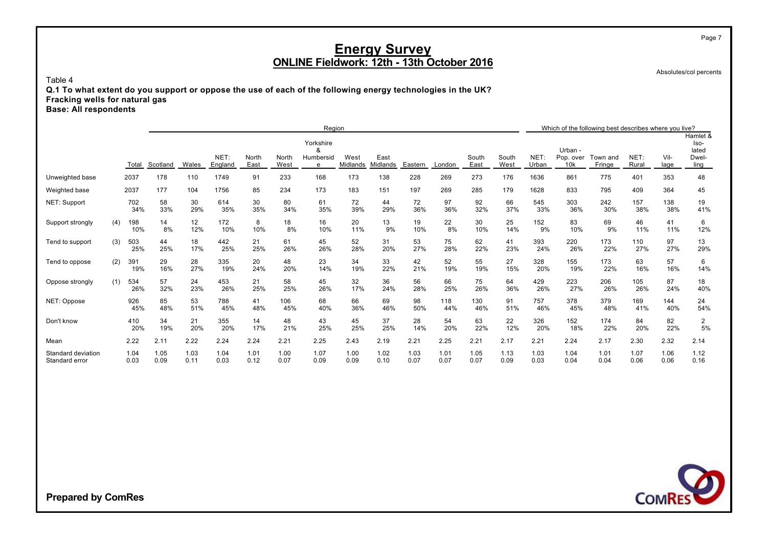Absolutes/col percents

Page 7

#### Table 4

**Q.1 To what extent do you support or oppose the use of each of the following energy technologies in the UK? Fracking wells for natural gas Base: All respondents**

|                                      | Region |              |              |              |                 |               |               |                |                  |                  |              |              |               |               | Which of the following best describes where you live? |                  |                    |               |              |                           |
|--------------------------------------|--------|--------------|--------------|--------------|-----------------|---------------|---------------|----------------|------------------|------------------|--------------|--------------|---------------|---------------|-------------------------------------------------------|------------------|--------------------|---------------|--------------|---------------------------|
|                                      |        |              |              |              |                 |               |               | Yorkshire<br>& |                  |                  |              |              |               |               |                                                       | Urban -          |                    |               |              | Hamlet &<br>lso-<br>lated |
|                                      |        | Total        | Scotland     | Wales        | NET:<br>England | North<br>East | North<br>West | Humbersid<br>e | West<br>Midlands | East<br>Midlands | Eastern      | London       | South<br>East | South<br>West | <b>NET</b><br>Urban                                   | Pop. over<br>10k | Town and<br>Fringe | NET:<br>Rural | Vil-<br>lage | Dwel-<br>ling             |
| Unweighted base                      |        | 2037         | 178          | 110          | 1749            | 91            | 233           | 168            | 173              | 138              | 228          | 269          | 273           | 176           | 1636                                                  | 861              | 775                | 401           | 353          | 48                        |
| Weighted base                        |        | 2037         | 177          | 104          | 1756            | 85            | 234           | 173            | 183              | 151              | 197          | 269          | 285           | 179           | 1628                                                  | 833              | 795                | 409           | 364          | 45                        |
| NET: Support                         |        | 702<br>34%   | 58<br>33%    | 30<br>29%    | 614<br>35%      | 30<br>35%     | 80<br>34%     | 61<br>35%      | 72<br>39%        | 44<br>29%        | 72<br>36%    | 97<br>36%    | 92<br>32%     | 66<br>37%     | 545<br>33%                                            | 303<br>36%       | 242<br>30%         | 157<br>38%    | 138<br>38%   | 19<br>41%                 |
| Support strongly                     | (4)    | 198<br>10%   | 14<br>8%     | 12<br>12%    | 172<br>10%      | 8<br>10%      | 18<br>8%      | 16<br>10%      | 20<br>11%        | 13<br>9%         | 19<br>10%    | 22<br>8%     | 30<br>10%     | 25<br>14%     | 152<br>9%                                             | 83<br>10%        | 69<br>9%           | 46<br>11%     | 41<br>11%    | 6<br>12%                  |
| Tend to support                      | (3)    | 503<br>25%   | 44<br>25%    | 18<br>17%    | 442<br>25%      | 21<br>25%     | 61<br>26%     | 45<br>26%      | 52<br>28%        | 31<br>20%        | 53<br>27%    | 75<br>28%    | 62<br>22%     | 41<br>23%     | 393<br>24%                                            | 220<br>26%       | 173<br>22%         | 110<br>27%    | 97<br>27%    | 13<br>29%                 |
| Tend to oppose                       | (2)    | 391<br>19%   | 29<br>16%    | 28<br>27%    | 335<br>19%      | 20<br>24%     | 48<br>20%     | 23<br>14%      | 34<br>19%        | 33<br>22%        | 42<br>21%    | 52<br>19%    | 55<br>19%     | 27<br>15%     | 328<br>20%                                            | 155<br>19%       | 173<br>22%         | 63<br>16%     | 57<br>16%    | 6<br>14%                  |
| Oppose strongly                      | (1)    | 534<br>26%   | 57<br>32%    | 24<br>23%    | 453<br>26%      | 21<br>25%     | 58<br>25%     | 45<br>26%      | 32<br>17%        | 36<br>24%        | 56<br>28%    | 66<br>25%    | 75<br>26%     | 64<br>36%     | 429<br>26%                                            | 223<br>27%       | 206<br>26%         | 105<br>26%    | 87<br>24%    | 18<br>40%                 |
| NET: Oppose                          |        | 926<br>45%   | 85<br>48%    | 53<br>51%    | 788<br>45%      | 41<br>48%     | 106<br>45%    | 68<br>40%      | 66<br>36%        | 69<br>46%        | 98<br>50%    | 118<br>44%   | 130<br>46%    | 91<br>51%     | 757<br>46%                                            | 378<br>45%       | 379<br>48%         | 169<br>41%    | 144<br>40%   | 24<br>54%                 |
| Don't know                           |        | 410<br>20%   | 34<br>19%    | 21<br>20%    | 355<br>20%      | 14<br>17%     | 48<br>21%     | 43<br>25%      | 45<br>25%        | 37<br>25%        | 28<br>14%    | 54<br>20%    | 63<br>22%     | 22<br>12%     | 326<br>20%                                            | 152<br>18%       | 174<br>22%         | 84<br>20%     | 82<br>22%    | $\overline{2}$<br>5%      |
| Mean                                 |        | 2.22         | 2.11         | 2.22         | 2.24            | 2.24          | 2.21          | 2.25           | 2.43             | 2.19             | 2.21         | 2.25         | 2.21          | 2.17          | 2.21                                                  | 2.24             | 2.17               | 2.30          | 2.32         | 2.14                      |
| Standard deviation<br>Standard error |        | 1.04<br>0.03 | 1.05<br>0.09 | 1.03<br>0.11 | 1.04<br>0.03    | 1.01<br>0.12  | 1.00<br>0.07  | 1.07<br>0.09   | 1.00<br>0.09     | 1.02<br>0.10     | 1.03<br>0.07 | 1.01<br>0.07 | 1.05<br>0.07  | 1.13<br>0.09  | 1.03<br>0.03                                          | 1.04<br>0.04     | 1.01<br>0.04       | 1.07<br>0.06  | 1.06<br>0.06 | 1.12<br>0.16              |

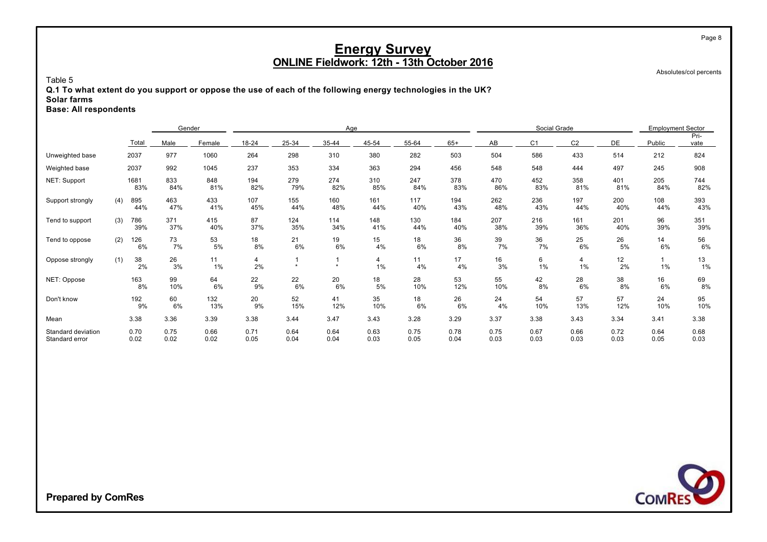Absolutes/col percents

Page 8

#### Table 5

**Q.1 To what extent do you support or oppose the use of each of the following energy technologies in the UK? Solar farms**

#### **Base: All respondents**

|                                      |     |              | Gender       |              |              |              | Age          |              |              |              |              | Social Grade   |                | <b>Employment Sector</b> |              |              |
|--------------------------------------|-----|--------------|--------------|--------------|--------------|--------------|--------------|--------------|--------------|--------------|--------------|----------------|----------------|--------------------------|--------------|--------------|
|                                      |     | Total        | Male         | Female       | 18-24        | 25-34        | 35-44        | 45-54        | 55-64        | $65+$        | AB           | C <sub>1</sub> | C <sub>2</sub> | DE                       | Public       | Pri-<br>vate |
| Unweighted base                      |     | 2037         | 977          | 1060         | 264          | 298          | 310          | 380          | 282          | 503          | 504          | 586            | 433            | 514                      | 212          | 824          |
| Weighted base                        |     | 2037         | 992          | 1045         | 237          | 353          | 334          | 363          | 294          | 456          | 548          | 548            | 444            | 497                      | 245          | 908          |
| NET: Support                         |     | 1681<br>83%  | 833<br>84%   | 848<br>81%   | 194<br>82%   | 279<br>79%   | 274<br>82%   | 310<br>85%   | 247<br>84%   | 378<br>83%   | 470<br>86%   | 452<br>83%     | 358<br>81%     | 401<br>81%               | 205<br>84%   | 744<br>82%   |
| Support strongly                     | (4) | 895<br>44%   | 463<br>47%   | 433<br>41%   | 107<br>45%   | 155<br>44%   | 160<br>48%   | 161<br>44%   | 117<br>40%   | 194<br>43%   | 262<br>48%   | 236<br>43%     | 197<br>44%     | 200<br>40%               | 108<br>44%   | 393<br>43%   |
| Tend to support                      | (3) | 786<br>39%   | 371<br>37%   | 415<br>40%   | 87<br>37%    | 124<br>35%   | 114<br>34%   | 148<br>41%   | 130<br>44%   | 184<br>40%   | 207<br>38%   | 216<br>39%     | 161<br>36%     | 201<br>40%               | 96<br>39%    | 351<br>39%   |
| Tend to oppose                       | (2) | 126<br>6%    | 73<br>7%     | 53<br>5%     | 18<br>8%     | 21<br>6%     | 19<br>6%     | 15<br>4%     | 18<br>6%     | 36<br>8%     | 39<br>7%     | 36<br>7%       | 25<br>6%       | 26<br>5%                 | 14<br>6%     | 56<br>6%     |
| Oppose strongly                      | (1) | 38<br>2%     | 26<br>3%     | 11<br>1%     | 4<br>2%      | $\star$      | $\bullet$    | 4<br>1%      | 11<br>4%     | 17<br>4%     | 16<br>3%     | 6<br>1%        | 4<br>1%        | 12<br>2%                 | 1%           | 13<br>$1\%$  |
| NET: Oppose                          |     | 163<br>8%    | 99<br>10%    | 64<br>6%     | 22<br>9%     | 22<br>6%     | 20<br>6%     | 18<br>5%     | 28<br>10%    | 53<br>12%    | 55<br>10%    | 42<br>8%       | 28<br>6%       | 38<br>8%                 | 16<br>6%     | 69<br>8%     |
| Don't know                           |     | 192<br>9%    | 60<br>6%     | 132<br>13%   | 20<br>9%     | 52<br>15%    | 41<br>12%    | 35<br>10%    | 18<br>6%     | 26<br>6%     | 24<br>4%     | 54<br>10%      | 57<br>13%      | 57<br>12%                | 24<br>10%    | 95<br>10%    |
| Mean                                 |     | 3.38         | 3.36         | 3.39         | 3.38         | 3.44         | 3.47         | 3.43         | 3.28         | 3.29         | 3.37         | 3.38           | 3.43           | 3.34                     | 3.41         | 3.38         |
| Standard deviation<br>Standard error |     | 0.70<br>0.02 | 0.75<br>0.02 | 0.66<br>0.02 | 0.71<br>0.05 | 0.64<br>0.04 | 0.64<br>0.04 | 0.63<br>0.03 | 0.75<br>0.05 | 0.78<br>0.04 | 0.75<br>0.03 | 0.67<br>0.03   | 0.66<br>0.03   | 0.72<br>0.03             | 0.64<br>0.05 | 0.68<br>0.03 |

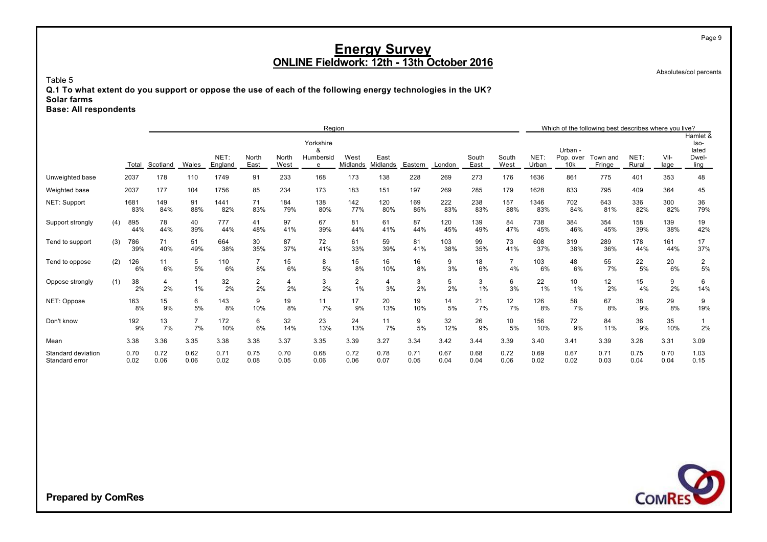Absolutes/col percents

Page 9

Table 5

**Q.1 To what extent do you support or oppose the use of each of the following energy technologies in the UK? Solar farms**

**Base: All respondents**

|                                      |     |              |              |                      |                 |                      |               | Region                           |                  |                  |              |              |               |                       |               |                             | Which of the following best describes where you live? |               |              |                                            |
|--------------------------------------|-----|--------------|--------------|----------------------|-----------------|----------------------|---------------|----------------------------------|------------------|------------------|--------------|--------------|---------------|-----------------------|---------------|-----------------------------|-------------------------------------------------------|---------------|--------------|--------------------------------------------|
|                                      |     | Total        | Scotland     | Wales                | NET:<br>England | North<br>East        | North<br>West | Yorkshire<br>&<br>Humbersid<br>e | West<br>Midlands | East<br>Midlands | Eastern      | London       | South<br>East | South<br>West         | NET:<br>Urban | Urban -<br>Pop. over<br>10k | Town and<br>Fringe                                    | NET:<br>Rural | Vil-<br>lage | Hamlet &<br>Iso-<br>lated<br>Dwel-<br>ling |
| Unweighted base                      |     | 2037         | 178          | 110                  | 1749            | 91                   | 233           | 168                              | 173              | 138              | 228          | 269          | 273           | 176                   | 1636          | 861                         | 775                                                   | 401           | 353          | 48                                         |
| Weighted base                        |     | 2037         | 177          | 104                  | 1756            | 85                   | 234           | 173                              | 183              | 151              | 197          | 269          | 285           | 179                   | 1628          | 833                         | 795                                                   | 409           | 364          | 45                                         |
| NET: Support                         |     | 1681<br>83%  | 149<br>84%   | 91<br>88%            | 1441<br>82%     | 71<br>83%            | 184<br>79%    | 138<br>80%                       | 142<br>77%       | 120<br>80%       | 169<br>85%   | 222<br>83%   | 238<br>83%    | 157<br>88%            | 1346<br>83%   | 702<br>84%                  | 643<br>81%                                            | 336<br>82%    | 300<br>82%   | 36<br>79%                                  |
| Support strongly                     | (4) | 895<br>44%   | 78<br>44%    | 40<br>39%            | 777<br>44%      | 41<br>48%            | 97<br>41%     | 67<br>39%                        | 81<br>44%        | 61<br>41%        | 87<br>44%    | 120<br>45%   | 139<br>49%    | 84<br>47%             | 738<br>45%    | 384<br>46%                  | 354<br>45%                                            | 158<br>39%    | 139<br>38%   | 19<br>42%                                  |
| Tend to support                      | (3) | 786<br>39%   | 71<br>40%    | 51<br>49%            | 664<br>38%      | 30<br>35%            | 87<br>37%     | 72<br>41%                        | 61<br>33%        | 59<br>39%        | 81<br>41%    | 103<br>38%   | 99<br>35%     | 73<br>41%             | 608<br>37%    | 319<br>38%                  | 289<br>36%                                            | 178<br>44%    | 161<br>44%   | 17<br>37%                                  |
| Tend to oppose                       | (2) | 126<br>6%    | 11<br>6%     | 5<br>5%              | 110<br>6%       | $\overline{7}$<br>8% | 15<br>6%      | 8<br>5%                          | 15<br>8%         | 16<br>10%        | 16<br>8%     | 9<br>3%      | 18<br>6%      | $\overline{7}$<br>4%  | 103<br>6%     | 48<br>6%                    | 55<br>7%                                              | 22<br>5%      | 20<br>6%     | 2<br>5%                                    |
| Oppose strongly                      | (1) | 38<br>2%     | 4<br>2%      | 1%                   | 32<br>2%        | $\overline{2}$<br>2% | 4<br>2%       | 3<br>2%                          | 2<br>1%          | 4<br>3%          | 3<br>2%      | 5<br>2%      | 3<br>1%       | 6<br>3%               | 22<br>1%      | 10<br>1%                    | 12<br>2%                                              | 15<br>4%      | 9<br>2%      | 6<br>14%                                   |
| NET: Oppose                          |     | 163<br>8%    | 15<br>9%     | 6<br>5%              | 143<br>8%       | 9<br>10%             | 19<br>8%      | 11<br>7%                         | 17<br>9%         | 20<br>13%        | 19<br>10%    | 14<br>5%     | 21<br>7%      | 12<br>7%              | 126<br>8%     | 58<br>7%                    | 67<br>8%                                              | 38<br>9%      | 29<br>8%     | 9<br>19%                                   |
| Don't know                           |     | 192<br>9%    | 13<br>7%     | $\overline{7}$<br>7% | 172<br>10%      | 6<br>6%              | 32<br>14%     | 23<br>13%                        | 24<br>13%        | 11<br>7%         | 9<br>5%      | 32<br>12%    | 26<br>9%      | 10 <sup>°</sup><br>5% | 156<br>10%    | 72<br>9%                    | 84<br>11%                                             | 36<br>9%      | 35<br>10%    | 2%                                         |
| Mean                                 |     | 3.38         | 3.36         | 3.35                 | 3.38            | 3.38                 | 3.37          | 3.35                             | 3.39             | 3.27             | 3.34         | 3.42         | 3.44          | 3.39                  | 3.40          | 3.41                        | 3.39                                                  | 3.28          | 3.31         | 3.09                                       |
| Standard deviation<br>Standard error |     | 0.70<br>0.02 | 0.72<br>0.06 | 0.62<br>0.06         | 0.71<br>0.02    | 0.75<br>0.08         | 0.70<br>0.05  | 0.68<br>0.06                     | 0.72<br>0.06     | 0.78<br>0.07     | 0.71<br>0.05 | 0.67<br>0.04 | 0.68<br>0.04  | 0.72<br>0.06          | 0.69<br>0.02  | 0.67<br>0.02                | 0.71<br>0.03                                          | 0.75<br>0.04  | 0.70<br>0.04 | 1.03<br>0.15                               |

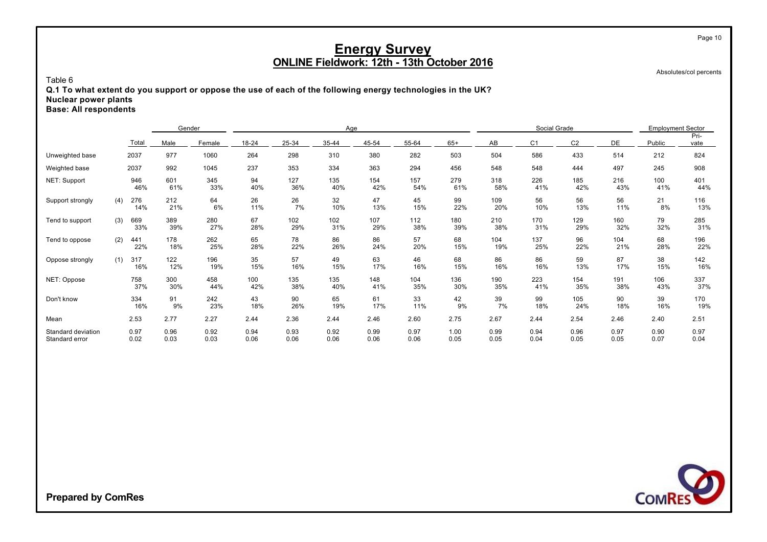Absolutes/col percents

Page 10

#### Table 6

**Q.1 To what extent do you support or oppose the use of each of the following energy technologies in the UK? Nuclear power plants Base: All respondents**

|                                      |     |              | Gender       |              |              |              | Age          |              |              |              |              | Social Grade   |                |              | <b>Employment Sector</b> |              |
|--------------------------------------|-----|--------------|--------------|--------------|--------------|--------------|--------------|--------------|--------------|--------------|--------------|----------------|----------------|--------------|--------------------------|--------------|
|                                      |     | Total        | Male         | Female       | 18-24        | 25-34        | 35-44        | 45-54        | 55-64        | $65+$        | AB           | C <sub>1</sub> | C <sub>2</sub> | DE           | Public                   | Pri-<br>vate |
| Unweighted base                      |     | 2037         | 977          | 1060         | 264          | 298          | 310          | 380          | 282          | 503          | 504          | 586            | 433            | 514          | 212                      | 824          |
| Weighted base                        |     | 2037         | 992          | 1045         | 237          | 353          | 334          | 363          | 294          | 456          | 548          | 548            | 444            | 497          | 245                      | 908          |
| NET: Support                         |     | 946<br>46%   | 601<br>61%   | 345<br>33%   | 94<br>40%    | 127<br>36%   | 135<br>40%   | 154<br>42%   | 157<br>54%   | 279<br>61%   | 318<br>58%   | 226<br>41%     | 185<br>42%     | 216<br>43%   | 100<br>41%               | 401<br>44%   |
| Support strongly                     | (4) | 276<br>14%   | 212<br>21%   | 64<br>6%     | 26<br>11%    | 26<br>7%     | 32<br>10%    | 47<br>13%    | 45<br>15%    | 99<br>22%    | 109<br>20%   | 56<br>10%      | 56<br>13%      | 56<br>11%    | 21<br>8%                 | 116<br>13%   |
| Tend to support                      | (3) | 669<br>33%   | 389<br>39%   | 280<br>27%   | 67<br>28%    | 102<br>29%   | 102<br>31%   | 107<br>29%   | 112<br>38%   | 180<br>39%   | 210<br>38%   | 170<br>31%     | 129<br>29%     | 160<br>32%   | 79<br>32%                | 285<br>31%   |
| Tend to oppose                       | (2) | 441<br>22%   | 178<br>18%   | 262<br>25%   | 65<br>28%    | 78<br>22%    | 86<br>26%    | 86<br>24%    | 57<br>20%    | 68<br>15%    | 104<br>19%   | 137<br>25%     | 96<br>22%      | 104<br>21%   | 68<br>28%                | 196<br>22%   |
| Oppose strongly                      | (1) | 317<br>16%   | 122<br>12%   | 196<br>19%   | 35<br>15%    | 57<br>16%    | 49<br>15%    | 63<br>17%    | 46<br>16%    | 68<br>15%    | 86<br>16%    | 86<br>16%      | 59<br>13%      | 87<br>17%    | 38<br>15%                | 142<br>16%   |
| NET: Oppose                          |     | 758<br>37%   | 300<br>30%   | 458<br>44%   | 100<br>42%   | 135<br>38%   | 135<br>40%   | 148<br>41%   | 104<br>35%   | 136<br>30%   | 190<br>35%   | 223<br>41%     | 154<br>35%     | 191<br>38%   | 106<br>43%               | 337<br>37%   |
| Don't know                           |     | 334<br>16%   | 91<br>9%     | 242<br>23%   | 43<br>18%    | 90<br>26%    | 65<br>19%    | 61<br>17%    | 33<br>11%    | 42<br>9%     | 39<br>7%     | 99<br>18%      | 105<br>24%     | 90<br>18%    | 39<br>16%                | 170<br>19%   |
| Mean                                 |     | 2.53         | 2.77         | 2.27         | 2.44         | 2.36         | 2.44         | 2.46         | 2.60         | 2.75         | 2.67         | 2.44           | 2.54           | 2.46         | 2.40                     | 2.51         |
| Standard deviation<br>Standard error |     | 0.97<br>0.02 | 0.96<br>0.03 | 0.92<br>0.03 | 0.94<br>0.06 | 0.93<br>0.06 | 0.92<br>0.06 | 0.99<br>0.06 | 0.97<br>0.06 | 1.00<br>0.05 | 0.99<br>0.05 | 0.94<br>0.04   | 0.96<br>0.05   | 0.97<br>0.05 | 0.90<br>0.07             | 0.97<br>0.04 |

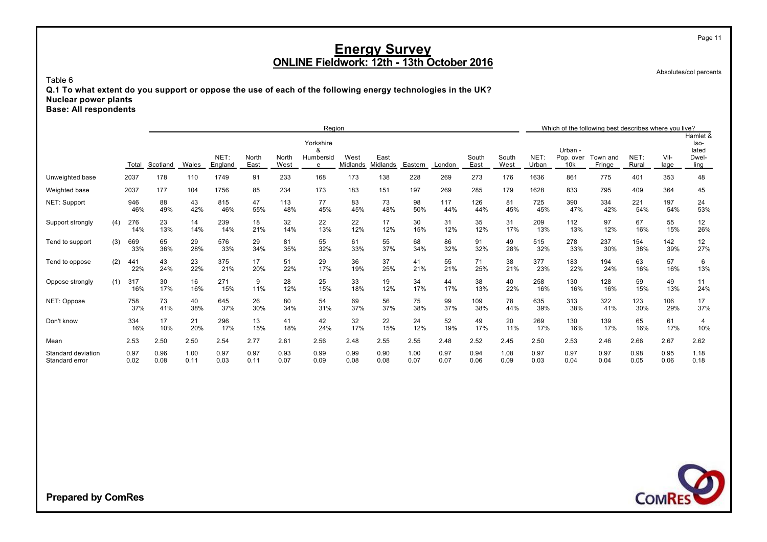Absolutes/col percents

Page 11

Table 6

**Q.1 To what extent do you support or oppose the use of each of the following energy technologies in the UK? Nuclear power plants Base: All respondents**

|                                      |     |              |              | Region       |                 |               |               |                                  |                  |                  |              |              |               |               |               |                             | Which of the following best describes where you live? |               |              |                                            |
|--------------------------------------|-----|--------------|--------------|--------------|-----------------|---------------|---------------|----------------------------------|------------------|------------------|--------------|--------------|---------------|---------------|---------------|-----------------------------|-------------------------------------------------------|---------------|--------------|--------------------------------------------|
|                                      |     | Total        | Scotland     | Wales        | NET:<br>England | North<br>East | North<br>West | Yorkshire<br>&<br>Humbersid<br>e | West<br>Midlands | East<br>Midlands | Eastern      | London       | South<br>East | South<br>West | NET:<br>Urban | Urban -<br>Pop. over<br>10k | Town and<br>Fringe                                    | NET:<br>Rural | Vil-<br>lage | Hamlet &<br>lso-<br>lated<br>Dwel-<br>ling |
| Unweighted base                      |     | 2037         | 178          | 110          | 1749            | 91            | 233           | 168                              | 173              | 138              | 228          | 269          | 273           | 176           | 1636          | 861                         | 775                                                   | 401           | 353          | 48                                         |
| Weighted base                        |     | 2037         | 177          | 104          | 1756            | 85            | 234           | 173                              | 183              | 151              | 197          | 269          | 285           | 179           | 1628          | 833                         | 795                                                   | 409           | 364          | 45                                         |
| NET: Support                         |     | 946<br>46%   | 88<br>49%    | 43<br>42%    | 815<br>46%      | 47<br>55%     | 113<br>48%    | 77<br>45%                        | 83<br>45%        | 73<br>48%        | 98<br>50%    | 117<br>44%   | 126<br>44%    | 81<br>45%     | 725<br>45%    | 390<br>47%                  | 334<br>42%                                            | 221<br>54%    | 197<br>54%   | 24<br>53%                                  |
| Support strongly                     | (4) | 276<br>14%   | 23<br>13%    | 14<br>14%    | 239<br>14%      | 18<br>21%     | 32<br>14%     | 22<br>13%                        | 22<br>12%        | 17<br>12%        | 30<br>15%    | 31<br>12%    | 35<br>12%     | 31<br>17%     | 209<br>13%    | 112<br>13%                  | 97<br>12%                                             | 67<br>16%     | 55<br>15%    | 12<br>26%                                  |
| Tend to support                      | (3) | 669<br>33%   | 65<br>36%    | 29<br>28%    | 576<br>33%      | 29<br>34%     | 81<br>35%     | 55<br>32%                        | 61<br>33%        | 55<br>37%        | 68<br>34%    | 86<br>32%    | 91<br>32%     | 49<br>28%     | 515<br>32%    | 278<br>33%                  | 237<br>30%                                            | 154<br>38%    | 142<br>39%   | 12<br>27%                                  |
| Tend to oppose                       | (2) | 441<br>22%   | 43<br>24%    | 23<br>22%    | 375<br>21%      | 17<br>20%     | 51<br>22%     | 29<br>17%                        | 36<br>19%        | 37<br>25%        | 41<br>21%    | 55<br>21%    | 71<br>25%     | 38<br>21%     | 377<br>23%    | 183<br>22%                  | 194<br>24%                                            | 63<br>16%     | 57<br>16%    | 6<br>13%                                   |
| Oppose strongly                      | (1) | 317<br>16%   | 30<br>17%    | 16<br>16%    | 271<br>15%      | 9<br>11%      | 28<br>12%     | 25<br>15%                        | 33<br>18%        | 19<br>12%        | 34<br>17%    | 44<br>17%    | 38<br>13%     | 40<br>22%     | 258<br>16%    | 130<br>16%                  | 128<br>16%                                            | 59<br>15%     | 49<br>13%    | 11<br>24%                                  |
| NET: Oppose                          |     | 758<br>37%   | 73<br>41%    | 40<br>38%    | 645<br>37%      | 26<br>30%     | 80<br>34%     | 54<br>31%                        | 69<br>37%        | 56<br>37%        | 75<br>38%    | 99<br>37%    | 109<br>38%    | 78<br>44%     | 635<br>39%    | 313<br>38%                  | 322<br>41%                                            | 123<br>30%    | 106<br>29%   | 17<br>37%                                  |
| Don't know                           |     | 334<br>16%   | 17<br>10%    | 21<br>20%    | 296<br>17%      | 13<br>15%     | 41<br>18%     | 42<br>24%                        | 32<br>17%        | 22<br>15%        | 24<br>12%    | 52<br>19%    | 49<br>17%     | 20<br>11%     | 269<br>17%    | 130<br>16%                  | 139<br>17%                                            | 65<br>16%     | 61<br>17%    | $\overline{4}$<br>10%                      |
| Mean                                 |     | 2.53         | 2.50         | 2.50         | 2.54            | 2.77          | 2.61          | 2.56                             | 2.48             | 2.55             | 2.55         | 2.48         | 2.52          | 2.45          | 2.50          | 2.53                        | 2.46                                                  | 2.66          | 2.67         | 2.62                                       |
| Standard deviation<br>Standard error |     | 0.97<br>0.02 | 0.96<br>0.08 | 1.00<br>0.11 | 0.97<br>0.03    | 0.97<br>0.11  | 0.93<br>0.07  | 0.99<br>0.09                     | 0.99<br>0.08     | 0.90<br>0.08     | 1.00<br>0.07 | 0.97<br>0.07 | 0.94<br>0.06  | 1.08<br>0.09  | 0.97<br>0.03  | 0.97<br>0.04                | 0.97<br>0.04                                          | 0.98<br>0.05  | 0.95<br>0.06 | 1.18<br>0.18                               |

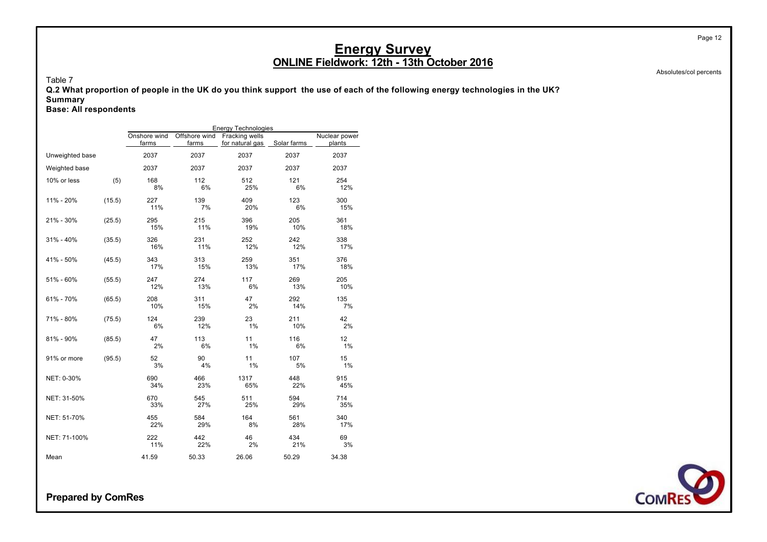Table 7

**Q.2 What proportion of people in the UK do you think support the use of each of the following energy technologies in the UK? Summary**

**Base: All respondents**

|                 |        |                       |                        | <b>Energy Technologies</b>        |             |                         |
|-----------------|--------|-----------------------|------------------------|-----------------------------------|-------------|-------------------------|
|                 |        | Onshore wind<br>farms | Offshore wind<br>farms | Fracking wells<br>for natural gas | Solar farms | Nuclear power<br>plants |
| Unweighted base |        | 2037                  | 2037                   | 2037                              | 2037        | 2037                    |
| Weighted base   |        | 2037                  | 2037                   | 2037                              | 2037        | 2037                    |
| 10% or less     | (5)    | 168<br>8%             | 112<br>6%              | 512<br>25%                        | 121<br>6%   | 254<br>12%              |
| 11% - 20%       | (15.5) | 227<br>11%            | 139<br>7%              | 409<br>20%                        | 123<br>6%   | 300<br>15%              |
| 21% - 30%       | (25.5) | 295<br>15%            | 215<br>11%             | 396<br>19%                        | 205<br>10%  | 361<br>18%              |
| 31% - 40%       | (35.5) | 326<br>16%            | 231<br>11%             | 252<br>12%                        | 242<br>12%  | 338<br>17%              |
| 41% - 50%       | (45.5) | 343<br>17%            | 313<br>15%             | 259<br>13%                        | 351<br>17%  | 376<br>18%              |
| 51% - 60%       | (55.5) | 247<br>12%            | 274<br>13%             | 117<br>6%                         | 269<br>13%  | 205<br>10%              |
| 61% - 70%       | (65.5) | 208<br>10%            | 311<br>15%             | 47<br>2%                          | 292<br>14%  | 135<br>7%               |
| 71% - 80%       | (75.5) | 124<br>6%             | 239<br>12%             | 23<br>1%                          | 211<br>10%  | 42<br>2%                |
| 81% - 90%       | (85.5) | 47<br>2%              | 113<br>6%              | 11<br>1%                          | 116<br>6%   | 12<br>1%                |
| 91% or more     | (95.5) | 52<br>3%              | 90<br>4%               | 11<br>1%                          | 107<br>5%   | 15<br>1%                |
| NET: 0-30%      |        | 690<br>34%            | 466<br>23%             | 1317<br>65%                       | 448<br>22%  | 915<br>45%              |
| NET: 31-50%     |        | 670<br>33%            | 545<br>27%             | 511<br>25%                        | 594<br>29%  | 714<br>35%              |
| NET: 51-70%     |        | 455<br>22%            | 584<br>29%             | 164<br>8%                         | 561<br>28%  | 340<br>17%              |
| NET: 71-100%    |        | 222<br>11%            | 442<br>22%             | 46<br>2%                          | 434<br>21%  | 69<br>3%                |
| Mean            |        | 41.59                 | 50.33                  | 26.06                             | 50.29       | 34.38                   |

**Prepared by ComRes**

Page 12

Absolutes/col percents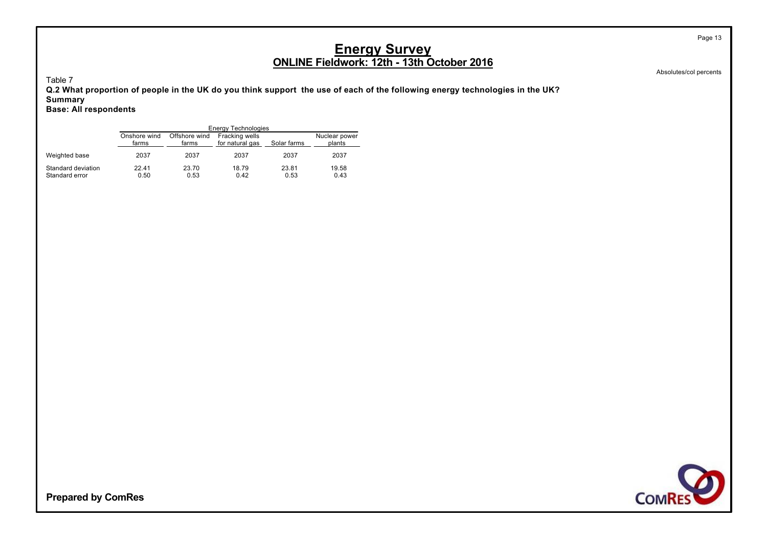Table 7

**Q.2 What proportion of people in the UK do you think support the use of each of the following energy technologies in the UK? Summary**

**Base: All respondents**

|                                      |                       |                        | Energy Technologies               |               |                         |
|--------------------------------------|-----------------------|------------------------|-----------------------------------|---------------|-------------------------|
|                                      | Onshore wind<br>farms | Offshore wind<br>farms | Fracking wells<br>for natural gas | Solar farms   | Nuclear power<br>plants |
| Weighted base                        | 2037                  | 2037                   | 2037                              | 2037          | 2037                    |
| Standard deviation<br>Standard error | 22.41<br>0.50         | 23.70<br>0.53          | 18.79<br>0.42                     | 23.81<br>0.53 | 19.58<br>0.43           |

Absolutes/col percents



**Prepared by ComRes**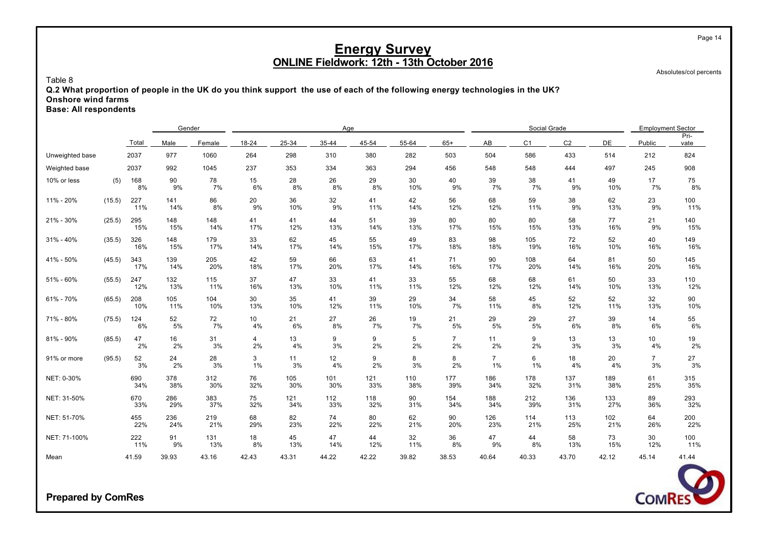Absolutes/col percents

Table 8

**Q.2 What proportion of people in the UK do you think support the use of each of the following energy technologies in the UK? Onshore wind farms**

**Base: All respondents**

|                 |        |            | Gender     |            |           |            | Age        |            |            |                      |                      | Social Grade   |                |            | <b>Employment Sector</b> |              |
|-----------------|--------|------------|------------|------------|-----------|------------|------------|------------|------------|----------------------|----------------------|----------------|----------------|------------|--------------------------|--------------|
|                 |        | Total      | Male       | Female     | 18-24     | 25-34      | 35-44      | 45-54      | 55-64      | $65+$                | AB                   | C <sub>1</sub> | C <sub>2</sub> | DE         | Public                   | Pri-<br>vate |
| Unweighted base |        | 2037       | 977        | 1060       | 264       | 298        | 310        | 380        | 282        | 503                  | 504                  | 586            | 433            | 514        | 212                      | 824          |
| Weighted base   |        | 2037       | 992        | 1045       | 237       | 353        | 334        | 363        | 294        | 456                  | 548                  | 548            | 444            | 497        | 245                      | 908          |
| 10% or less     | (5)    | 168<br>8%  | 90<br>9%   | 78<br>7%   | 15<br>6%  | 28<br>8%   | 26<br>8%   | 29<br>8%   | 30<br>10%  | 40<br>9%             | 39<br>7%             | 38<br>7%       | 41<br>9%       | 49<br>10%  | 17<br>7%                 | 75<br>8%     |
| 11% - 20%       | (15.5) | 227<br>11% | 141<br>14% | 86<br>8%   | 20<br>9%  | 36<br>10%  | 32<br>9%   | 41<br>11%  | 42<br>14%  | 56<br>12%            | 68<br>12%            | 59<br>11%      | 38<br>9%       | 62<br>13%  | 23<br>9%                 | 100<br>11%   |
| 21% - 30%       | (25.5) | 295<br>15% | 148<br>15% | 148<br>14% | 41<br>17% | 41<br>12%  | 44<br>13%  | 51<br>14%  | 39<br>13%  | 80<br>17%            | 80<br>15%            | 80<br>15%      | 58<br>13%      | 77<br>16%  | 21<br>9%                 | 140<br>15%   |
| $31\% - 40\%$   | (35.5) | 326<br>16% | 148<br>15% | 179<br>17% | 33<br>14% | 62<br>17%  | 45<br>14%  | 55<br>15%  | 49<br>17%  | 83<br>18%            | 98<br>18%            | 105<br>19%     | 72<br>16%      | 52<br>10%  | 40<br>16%                | 149<br>16%   |
| 41% - 50%       | (45.5) | 343<br>17% | 139<br>14% | 205<br>20% | 42<br>18% | 59<br>17%  | 66<br>20%  | 63<br>17%  | 41<br>14%  | 71<br>16%            | 90<br>17%            | 108<br>20%     | 64<br>14%      | 81<br>16%  | 50<br>20%                | 145<br>16%   |
| 51% - 60%       | (55.5) | 247<br>12% | 132<br>13% | 115<br>11% | 37<br>16% | 47<br>13%  | 33<br>10%  | 41<br>11%  | 33<br>11%  | 55<br>12%            | 68<br>12%            | 68<br>12%      | 61<br>14%      | 50<br>10%  | 33<br>13%                | 110<br>12%   |
| 61% - 70%       | (65.5) | 208<br>10% | 105<br>11% | 104<br>10% | 30<br>13% | 35<br>10%  | 41<br>12%  | 39<br>11%  | 29<br>10%  | 34<br>7%             | 58<br>11%            | 45<br>8%       | 52<br>12%      | 52<br>11%  | 32<br>13%                | 90<br>10%    |
| 71% - 80%       | (75.5) | 124<br>6%  | 52<br>5%   | 72<br>7%   | 10<br>4%  | 21<br>6%   | 27<br>8%   | 26<br>7%   | 19<br>7%   | 21<br>5%             | 29<br>5%             | 29<br>5%       | 27<br>6%       | 39<br>8%   | 14<br>6%                 | 55<br>6%     |
| 81% - 90%       | (85.5) | 47<br>2%   | 16<br>2%   | 31<br>3%   | 4<br>2%   | 13<br>4%   | 9<br>3%    | 9<br>2%    | 5<br>2%    | $\overline{7}$<br>2% | 11<br>2%             | 9<br>2%        | 13<br>3%       | 13<br>3%   | 10<br>4%                 | 19<br>2%     |
| 91% or more     | (95.5) | 52<br>3%   | 24<br>2%   | 28<br>3%   | 3<br>1%   | 11<br>3%   | 12<br>4%   | 9<br>2%    | 8<br>3%    | 8<br>2%              | $\overline{7}$<br>1% | 6<br>1%        | 18<br>4%       | 20<br>4%   | $\overline{7}$<br>3%     | 27<br>3%     |
| NET: 0-30%      |        | 690<br>34% | 378<br>38% | 312<br>30% | 76<br>32% | 105<br>30% | 101<br>30% | 121<br>33% | 110<br>38% | 177<br>39%           | 186<br>34%           | 178<br>32%     | 137<br>31%     | 189<br>38% | 61<br>25%                | 315<br>35%   |
| NET: 31-50%     |        | 670<br>33% | 286<br>29% | 383<br>37% | 75<br>32% | 121<br>34% | 112<br>33% | 118<br>32% | 90<br>31%  | 154<br>34%           | 188<br>34%           | 212<br>39%     | 136<br>31%     | 133<br>27% | 89<br>36%                | 293<br>32%   |
| NET: 51-70%     |        | 455<br>22% | 236<br>24% | 219<br>21% | 68<br>29% | 82<br>23%  | 74<br>22%  | 80<br>22%  | 62<br>21%  | 90<br>20%            | 126<br>23%           | 114<br>21%     | 113<br>25%     | 102<br>21% | 64<br>26%                | 200<br>22%   |
| NET: 71-100%    |        | 222<br>11% | 91<br>9%   | 131<br>13% | 18<br>8%  | 45<br>13%  | 47<br>14%  | 44<br>12%  | 32<br>11%  | 36<br>8%             | 47<br>9%             | 44<br>8%       | 58<br>13%      | 73<br>15%  | 30<br>12%                | 100<br>11%   |
| Mean            |        | 41.59      | 39.93      | 43.16      | 42.43     | 43.31      | 44.22      | 42.22      | 39.82      | 38.53                | 40.64                | 40.33          | 43.70          | 42.12      | 45.14                    | 41.44        |



**Prepared by ComRes**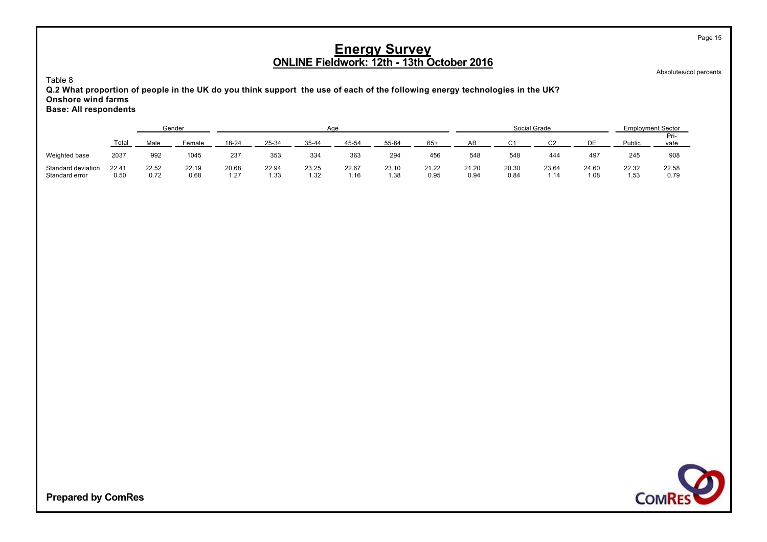Absolutes/col percents

Page 15

Table 8

**Q.2 What proportion of people in the UK do you think support the use of each of the following energy technologies in the UK? Onshore wind farms Base: All respondents**

|                                      |               |               | Gender        |               |               |               | Aae           |               |               |               |               | Social Grade  |               | <b>Employment Sector</b> |               |
|--------------------------------------|---------------|---------------|---------------|---------------|---------------|---------------|---------------|---------------|---------------|---------------|---------------|---------------|---------------|--------------------------|---------------|
|                                      | Total         | Male          | Female        | $18 - 24$     | 25-34         | $35 - 44$     | 45-54         | 55-64         | $65+$         | AB            | ⌒ィ            | ົາ            |               | Public                   | Pri-<br>vate  |
| Weighted base                        | 2037          | 992           | 1045          | 237           | 353           | 334           | 363           | 294           | 456           | 548           | 548           | 444           | 497           | 245                      | 908           |
| Standard deviation<br>Standard error | 22.41<br>0.50 | 22.52<br>0.72 | 22.19<br>0.68 | 20.68<br>1.27 | 22.94<br>1.33 | 23.25<br>1.32 | 22.67<br>1.16 | 23.10<br>1.38 | 21.22<br>0.95 | 21.20<br>0.94 | 20.30<br>0.84 | 23.64<br>1.14 | 24.60<br>1.08 | 22.32<br>1.53            | 22.58<br>0.79 |

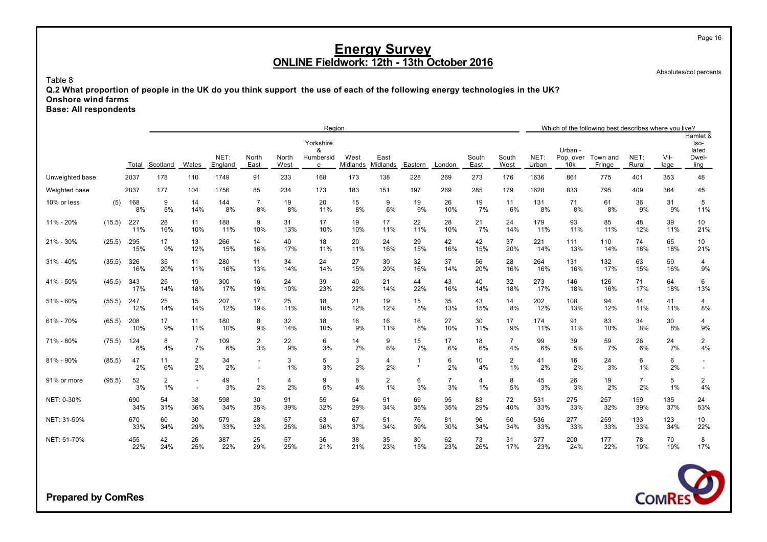Absolutes/col percents

Page 16

Table 8

**Q.2 What proportion of people in the UK do you think support the use of each of the following energy technologies in the UK? Onshore wind farms**

**Base: All respondents**

|                 |        |            |                      |                      |                 |                                                      |               | Region                           |                  |                         |               |                      |               |                         |               |                             | Which of the following best describes where you live? |                      |              |                                            |
|-----------------|--------|------------|----------------------|----------------------|-----------------|------------------------------------------------------|---------------|----------------------------------|------------------|-------------------------|---------------|----------------------|---------------|-------------------------|---------------|-----------------------------|-------------------------------------------------------|----------------------|--------------|--------------------------------------------|
|                 |        | Total      | Scotland             | Wales                | NET:<br>England | North<br>East                                        | North<br>West | Yorkshire<br>&<br>Humbersid<br>e | West<br>Midlands | East<br>Midlands        | Eastern       | London               | South<br>East | South<br>West           | NET:<br>Urban | Urban -<br>Pop. over<br>10k | Town and<br>Fringe                                    | NET:<br>Rural        | Vil-<br>lage | Hamlet &<br>Iso-<br>lated<br>Dwel-<br>ling |
| Unweighted base |        | 2037       | 178                  | 110                  | 1749            | 91                                                   | 233           | 168                              | 173              | 138                     | 228           | 269                  | 273           | 176                     | 1636          | 861                         | 775                                                   | 401                  | 353          | 48                                         |
| Weighted base   |        | 2037       | 177                  | 104                  | 1756            | 85                                                   | 234           | 173                              | 183              | 151                     | 197           | 269                  | 285           | 179                     | 1628          | 833                         | 795                                                   | 409                  | 364          | 45                                         |
| 10% or less     | (5)    | 168<br>8%  | 9<br>5%              | 14<br>14%            | 144<br>8%       | $\overline{7}$<br>8%                                 | 19<br>8%      | 20<br>11%                        | 15<br>8%         | 9<br>6%                 | 19<br>9%      | 26<br>10%            | 19<br>7%      | 11<br>6%                | 131<br>8%     | 71<br>8%                    | 61<br>8%                                              | 36<br>9%             | 31<br>9%     | 5<br>11%                                   |
| 11% - 20%       | (15.5) | 227<br>11% | 28<br>16%            | 11<br>10%            | 188<br>11%      | 9<br>10%                                             | 31<br>13%     | 17<br>10%                        | 19<br>10%        | 17<br>11%               | 22<br>11%     | 28<br>10%            | 21<br>7%      | 24<br>14%               | 179<br>11%    | 93<br>11%                   | 85<br>11%                                             | 48<br>12%            | 39<br>11%    | 10<br>21%                                  |
| 21% - 30%       | (25.5) | 295<br>15% | 17<br>9%             | 13<br>12%            | 266<br>15%      | 14<br>16%                                            | 40<br>17%     | 18<br>11%                        | 20<br>11%        | 24<br>16%               | 29<br>15%     | 42<br>16%            | 42<br>15%     | 37<br>20%               | 221<br>14%    | 111<br>13%                  | 110<br>14%                                            | 74<br>18%            | 65<br>18%    | 10<br>21%                                  |
| $31\% - 40\%$   | (35.5) | 326<br>16% | 35<br>20%            | 11<br>11%            | 280<br>16%      | 11<br>13%                                            | 34<br>14%     | 24<br>14%                        | 27<br>15%        | 30<br>20%               | 32<br>16%     | 37<br>14%            | 56<br>20%     | 28<br>16%               | 264<br>16%    | 131<br>16%                  | 132<br>17%                                            | 63<br>15%            | 59<br>16%    | 4<br>9%                                    |
| 41% - 50%       | (45.5) | 343<br>17% | 25<br>14%            | 19<br>18%            | 300<br>17%      | 16<br>19%                                            | 24<br>10%     | 39<br>23%                        | 40<br>22%        | 21<br>14%               | 44<br>22%     | 43<br>16%            | 40<br>14%     | 32<br>18%               | 273<br>17%    | 146<br>18%                  | 126<br>16%                                            | 71<br>17%            | 64<br>18%    | 6<br>13%                                   |
| 51% - 60%       | (55.5) | 247<br>12% | 25<br>14%            | 15<br>14%            | 207<br>12%      | 17<br>19%                                            | 25<br>11%     | 18<br>10%                        | 21<br>12%        | 19<br>12%               | 15<br>8%      | 35<br>13%            | 43<br>15%     | 14<br>8%                | 202<br>12%    | 108<br>13%                  | 94<br>12%                                             | 44<br>11%            | 41<br>11%    | 4<br>8%                                    |
| 61% - 70%       | (65.5) | 208<br>10% | 17<br>9%             | 11<br>11%            | 180<br>10%      | 8<br>9%                                              | 32<br>14%     | 18<br>10%                        | 16<br>9%         | 16<br>11%               | 16<br>8%      | 27<br>10%            | 30<br>11%     | 17<br>9%                | 174<br>11%    | 91<br>11%                   | 83<br>10%                                             | 34<br>8%             | 30<br>8%     | 4<br>9%                                    |
| 71% - 80%       | (75.5) | 124<br>6%  | 8<br>4%              | $\overline{7}$<br>7% | 109<br>6%       | 2<br>3%                                              | 22<br>9%      | 6<br>3%                          | 14<br>7%         | 9<br>6%                 | 15<br>7%      | 17<br>6%             | 18<br>6%      | $\overline{7}$<br>4%    | 99<br>6%      | 39<br>5%                    | 59<br>7%                                              | 26<br>6%             | 24<br>7%     | $\overline{2}$<br>4%                       |
| 81% - 90%       | (85.5) | 47<br>2%   | 11<br>6%             | 2<br>2%              | 34<br>2%        | $\overline{\phantom{a}}$<br>$\overline{\phantom{a}}$ | 3<br>1%       | 5<br>3%                          | 3<br>2%          | 4<br>2%                 | -1<br>$\star$ | 6<br>2%              | 10<br>4%      | $\overline{c}$<br>$1\%$ | 41<br>2%      | 16<br>2%                    | 24<br>3%                                              | 6<br>$1\%$           | 6<br>2%      |                                            |
| 91% or more     | (95.5) | 52<br>3%   | $\overline{2}$<br>1% | $\sim$               | 49<br>3%        | $\mathbf{1}$<br>2%                                   | 4<br>2%       | 9<br>5%                          | 8<br>4%          | $\overline{2}$<br>$1\%$ | 6<br>3%       | $\overline{7}$<br>3% | 4<br>1%       | 8<br>5%                 | 45<br>3%      | 26<br>3%                    | 19<br>2%                                              | $\overline{7}$<br>2% | 5<br>1%      | $\overline{2}$<br>4%                       |
| NET: 0-30%      |        | 690<br>34% | 54<br>31%            | 38<br>36%            | 598<br>34%      | 30<br>35%                                            | 91<br>39%     | 55<br>32%                        | 54<br>29%        | 51<br>34%               | 69<br>35%     | 95<br>35%            | 83<br>29%     | 72<br>40%               | 531<br>33%    | 275<br>33%                  | 257<br>32%                                            | 159<br>39%           | 135<br>37%   | 24<br>53%                                  |
| NET: 31-50%     |        | 670<br>33% | 60<br>34%            | 30<br>29%            | 579<br>33%      | 28<br>32%                                            | 57<br>25%     | 63<br>36%                        | 67<br>37%        | 51<br>34%               | 76<br>39%     | 81<br>30%            | 96<br>34%     | 60<br>34%               | 536<br>33%    | 277<br>33%                  | 259<br>33%                                            | 133<br>33%           | 123<br>34%   | 10<br>22%                                  |
| NET: 51-70%     |        | 455<br>22% | 42<br>24%            | 26<br>25%            | 387<br>22%      | 25<br>29%                                            | 57<br>25%     | 36<br>21%                        | 38<br>21%        | 35<br>23%               | 30<br>15%     | 62<br>23%            | 73<br>26%     | 31<br>17%               | 377<br>23%    | 200<br>24%                  | 177<br>22%                                            | 78<br>19%            | 70<br>19%    | 8<br>17%                                   |

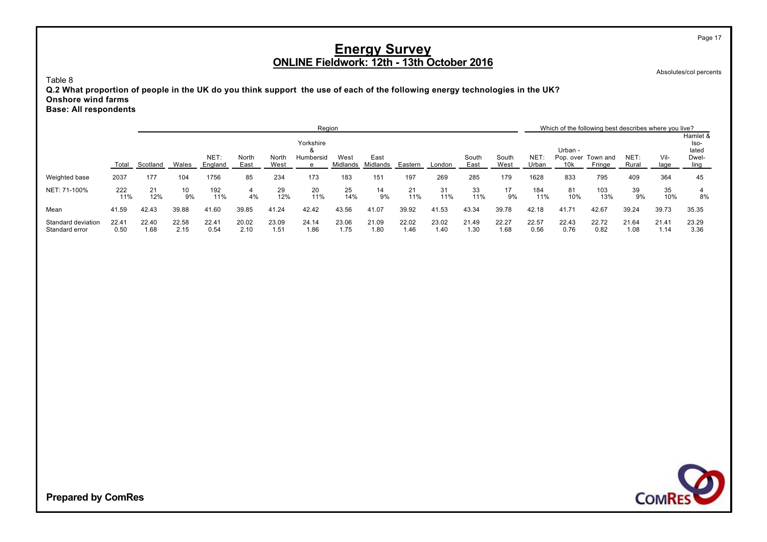Absolutes/col percents

Page 17

Table 8

**Q.2 What proportion of people in the UK do you think support the use of each of the following energy technologies in the UK? Onshore wind farms Base: All respondents**

|                                      |               |               |               |                 |               |               | Region                |                  |                  |               |               |               |               |                     |                              | Which of the following best describes where you live? |               |               |                           |
|--------------------------------------|---------------|---------------|---------------|-----------------|---------------|---------------|-----------------------|------------------|------------------|---------------|---------------|---------------|---------------|---------------------|------------------------------|-------------------------------------------------------|---------------|---------------|---------------------------|
|                                      |               |               |               |                 |               |               | Yorkshire<br>$\alpha$ |                  |                  |               |               |               |               |                     | Urban -                      |                                                       |               |               | Hamlet &<br>lso-<br>lated |
|                                      | Total         | Scotland      | Wales         | NET:<br>England | North<br>East | North<br>West | Humbersid<br>e        | West<br>Midlands | East<br>Midlands | Eastern       | London        | South<br>East | South<br>West | <b>NET</b><br>Urban | Pop. over<br>10 <sub>k</sub> | Town and<br>Fringe                                    | NET:<br>Rural | Vil-<br>lage  | Dwel-<br>ling             |
| Weighted base                        | 2037          | 177           | 104           | 1756            | 85            | 234           | 173                   | 183              | 151              | 197           | 269           | 285           | 179           | 1628                | 833                          | 795                                                   | 409           | 364           | 45                        |
| NET: 71-100%                         | 222<br>11%    | 21<br>12%     | 10<br>9%      | 192<br>11%      | 4<br>4%       | 29<br>12%     | 20<br>11%             | 25<br>14%        | 14<br>9%         | 21<br>11%     | 31<br>11%     | 33<br>11%     | 17<br>9%      | 184<br>11%          | 81<br>10%                    | 103<br>13%                                            | 39<br>9%      | 35<br>10%     | 8%                        |
| Mean                                 | 41.59         | 42.43         | 39.88         | 41.60           | 39.85         | 41.24         | 42.42                 | 43.56            | 41.07            | 39.92         | 41.53         | 43.34         | 39.78         | 42.18               | 41.71                        | 42.67                                                 | 39.24         | 39.73         | 35.35                     |
| Standard deviation<br>Standard error | 22.41<br>0.50 | 22.40<br>1.68 | 22.58<br>2.15 | 22.41<br>0.54   | 20.02<br>2.10 | 23.09<br>1.51 | 24.14<br>1.86         | 23.06<br>1.75    | 21.09<br>1.80    | 22.02<br>1.46 | 23.02<br>1.40 | 21.49<br>1.30 | 22.27<br>1.68 | 22.57<br>0.56       | 22.43<br>0.76                | 22.72<br>0.82                                         | 21.64<br>1.08 | 21.41<br>1.14 | 23.29<br>3.36             |

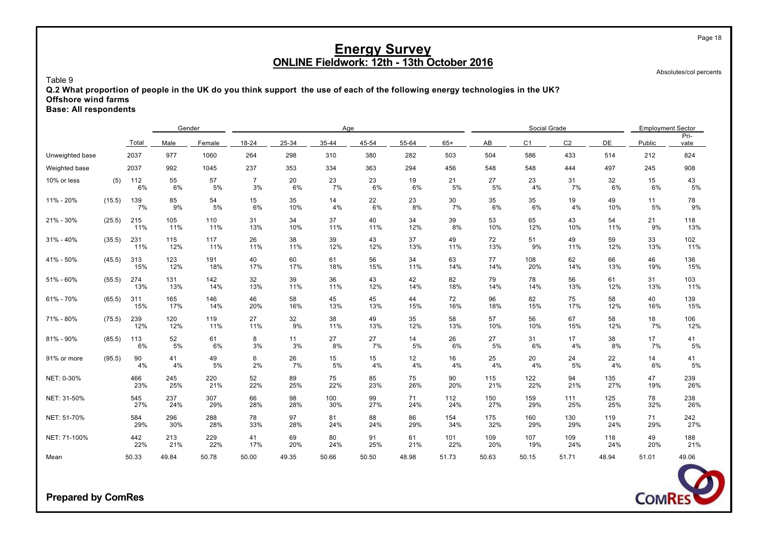Absolutes/col percents

Table 9

**Q.2 What proportion of people in the UK do you think support the use of each of the following energy technologies in the UK? Offshore wind farms**

**Base: All respondents**

|                 |        |            | Gender     |            |                      |           | Age        |           |           |            |            | Social Grade   |                |            | <b>Employment Sector</b> | Pri-       |
|-----------------|--------|------------|------------|------------|----------------------|-----------|------------|-----------|-----------|------------|------------|----------------|----------------|------------|--------------------------|------------|
|                 |        | Total      | Male       | Female     | 18-24                | 25-34     | 35-44      | 45-54     | 55-64     | $65+$      | AB         | C <sub>1</sub> | C <sub>2</sub> | DE         | Public                   | vate       |
| Unweighted base |        | 2037       | 977        | 1060       | 264                  | 298       | 310        | 380       | 282       | 503        | 504        | 586            | 433            | 514        | 212                      | 824        |
| Weighted base   |        | 2037       | 992        | 1045       | 237                  | 353       | 334        | 363       | 294       | 456        | 548        | 548            | 444            | 497        | 245                      | 908        |
| 10% or less     | (5)    | 112<br>6%  | 55<br>6%   | 57<br>5%   | $\overline{7}$<br>3% | 20<br>6%  | 23<br>7%   | 23<br>6%  | 19<br>6%  | 21<br>5%   | 27<br>5%   | 23<br>4%       | 31<br>7%       | 32<br>6%   | 15<br>6%                 | 43<br>5%   |
| 11% - 20%       | (15.5) | 139<br>7%  | 85<br>9%   | 54<br>5%   | 15<br>6%             | 35<br>10% | 14<br>4%   | 22<br>6%  | 23<br>8%  | 30<br>7%   | 35<br>6%   | 35<br>6%       | 19<br>4%       | 49<br>10%  | 11<br>5%                 | 78<br>9%   |
| 21% - 30%       | (25.5) | 215<br>11% | 105<br>11% | 110<br>11% | 31<br>13%            | 34<br>10% | 37<br>11%  | 40<br>11% | 34<br>12% | 39<br>8%   | 53<br>10%  | 65<br>12%      | 43<br>10%      | 54<br>11%  | 21<br>9%                 | 118<br>13% |
| $31\% - 40\%$   | (35.5) | 231<br>11% | 115<br>12% | 117<br>11% | 26<br>11%            | 38<br>11% | 39<br>12%  | 43<br>12% | 37<br>13% | 49<br>11%  | 72<br>13%  | 51<br>9%       | 49<br>11%      | 59<br>12%  | 33<br>13%                | 102<br>11% |
| 41% - 50%       | (45.5) | 313<br>15% | 123<br>12% | 191<br>18% | 40<br>17%            | 60<br>17% | 61<br>18%  | 56<br>15% | 34<br>11% | 63<br>14%  | 77<br>14%  | 108<br>20%     | 62<br>14%      | 66<br>13%  | 46<br>19%                | 136<br>15% |
| 51% - 60%       | (55.5) | 274<br>13% | 131<br>13% | 142<br>14% | 32<br>13%            | 39<br>11% | 36<br>11%  | 43<br>12% | 42<br>14% | 82<br>18%  | 79<br>14%  | 78<br>14%      | 56<br>13%      | 61<br>12%  | 31<br>13%                | 103<br>11% |
| 61% - 70%       | (65.5) | 311<br>15% | 165<br>17% | 146<br>14% | 46<br>20%            | 58<br>16% | 45<br>13%  | 45<br>13% | 44<br>15% | 72<br>16%  | 96<br>18%  | 82<br>15%      | 75<br>17%      | 58<br>12%  | 40<br>16%                | 139<br>15% |
| 71% - 80%       | (75.5) | 239<br>12% | 120<br>12% | 119<br>11% | 27<br>11%            | 32<br>9%  | 38<br>11%  | 49<br>13% | 35<br>12% | 58<br>13%  | 57<br>10%  | 56<br>10%      | 67<br>15%      | 58<br>12%  | 18<br>7%                 | 106<br>12% |
| 81% - 90%       | (85.5) | 113<br>6%  | 52<br>5%   | 61<br>6%   | 8<br>3%              | 11<br>3%  | 27<br>8%   | 27<br>7%  | 14<br>5%  | 26<br>6%   | 27<br>5%   | 31<br>6%       | 17<br>4%       | 38<br>8%   | 17<br>7%                 | 41<br>5%   |
| 91% or more     | (95.5) | 90<br>4%   | 41<br>4%   | 49<br>5%   | 6<br>2%              | 26<br>7%  | 15<br>5%   | 15<br>4%  | 12<br>4%  | 16<br>4%   | 25<br>4%   | 20<br>4%       | 24<br>5%       | 22<br>4%   | 14<br>6%                 | 41<br>5%   |
| NET: 0-30%      |        | 466<br>23% | 245<br>25% | 220<br>21% | 52<br>22%            | 89<br>25% | 75<br>22%  | 85<br>23% | 75<br>26% | 90<br>20%  | 115<br>21% | 122<br>22%     | 94<br>21%      | 135<br>27% | 47<br>19%                | 239<br>26% |
| NET: 31-50%     |        | 545<br>27% | 237<br>24% | 307<br>29% | 66<br>28%            | 98<br>28% | 100<br>30% | 99<br>27% | 71<br>24% | 112<br>24% | 150<br>27% | 159<br>29%     | 111<br>25%     | 125<br>25% | 78<br>32%                | 238<br>26% |
| NET: 51-70%     |        | 584<br>29% | 296<br>30% | 288<br>28% | 78<br>33%            | 97<br>28% | 81<br>24%  | 88<br>24% | 86<br>29% | 154<br>34% | 175<br>32% | 160<br>29%     | 130<br>29%     | 119<br>24% | 71<br>29%                | 242<br>27% |
| NET: 71-100%    |        | 442<br>22% | 213<br>21% | 229<br>22% | 41<br>17%            | 69<br>20% | 80<br>24%  | 91<br>25% | 61<br>21% | 101<br>22% | 109<br>20% | 107<br>19%     | 109<br>24%     | 118<br>24% | 49<br>20%                | 188<br>21% |
| Mean            |        | 50.33      | 49.84      | 50.78      | 50.00                | 49.35     | 50.66      | 50.50     | 48.98     | 51.73      | 50.63      | 50.15          | 51.71          | 48.94      | 51.01                    | 49.06      |

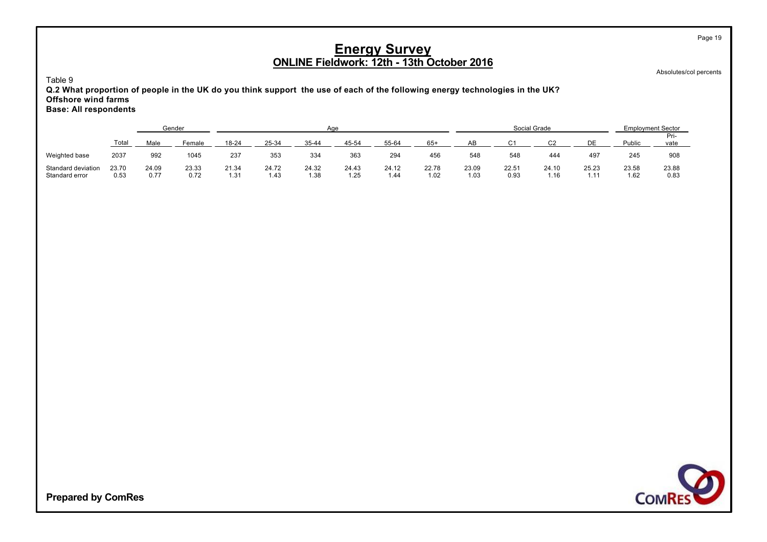Absolutes/col percents

Page 19

Table 9

**Q.2 What proportion of people in the UK do you think support the use of each of the following energy technologies in the UK? Offshore wind farms Base: All respondents**

|                                      |               |               | Gender        |               |               |               | Aae          |               |               |               |               | Social Grade  |                                        |               | <b>Employment Sector</b> |
|--------------------------------------|---------------|---------------|---------------|---------------|---------------|---------------|--------------|---------------|---------------|---------------|---------------|---------------|----------------------------------------|---------------|--------------------------|
|                                      | Total         | Male          | Female        | $18 - 24$     | 25-34         | $35 - 44$     | 45-54        | 55-64         | $65+$         | AB            | ⌒ィ            | ົາ            |                                        | Public        | Pri-<br>vate             |
| Weighted base                        | 2037          | 992           | 1045          | 237           | 353           | 334           | 363          | 294           | 456           | 548           | 548           | 444           | 497                                    | 245           | 908                      |
| Standard deviation<br>Standard error | 23.70<br>0.53 | 24.09<br>0.77 | 23.33<br>0.72 | 21.34<br>1.31 | 24.72<br>1.43 | 24.32<br>1.38 | 24.43<br>.25 | 24.12<br>1.44 | 22.78<br>1.02 | 23.09<br>1.03 | 22.51<br>0.93 | 24.10<br>i.16 | 25.23<br>$\overline{\phantom{a}}$<br>. | 23.58<br>1.62 | 23.88<br>0.83            |

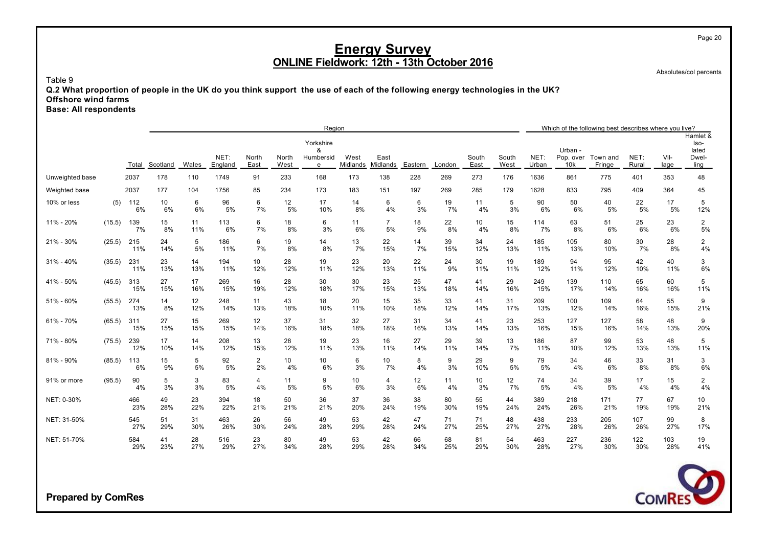Absolutes/col percents

Table 9

**Q.2 What proportion of people in the UK do you think support the use of each of the following energy technologies in the UK? Offshore wind farms**

**Base: All respondents**

|                 |        |            |           |           |                 |                      |               | Region                           |                  |                      |           |           |               |               |               |                             | Which of the following best describes where you live? |               |              |                                            |
|-----------------|--------|------------|-----------|-----------|-----------------|----------------------|---------------|----------------------------------|------------------|----------------------|-----------|-----------|---------------|---------------|---------------|-----------------------------|-------------------------------------------------------|---------------|--------------|--------------------------------------------|
|                 |        | Total      | Scotland  | Wales     | NET:<br>England | North<br>East        | North<br>West | Yorkshire<br>8<br>Humbersid<br>e | West<br>Midlands | East<br>Midlands     | Eastern   | London    | South<br>East | South<br>West | NET:<br>Urban | Urban -<br>Pop. over<br>10k | Town and<br>Fringe                                    | NET:<br>Rural | Vil-<br>lage | Hamlet &<br>Iso-<br>lated<br>Dwel-<br>ling |
| Unweighted base |        | 2037       | 178       | 110       | 1749            | 91                   | 233           | 168                              | 173              | 138                  | 228       | 269       | 273           | 176           | 1636          | 861                         | 775                                                   | 401           | 353          | 48                                         |
| Weighted base   |        | 2037       | 177       | 104       | 1756            | 85                   | 234           | 173                              | 183              | 151                  | 197       | 269       | 285           | 179           | 1628          | 833                         | 795                                                   | 409           | 364          | 45                                         |
| 10% or less     | (5)    | 112<br>6%  | 10<br>6%  | 6<br>6%   | 96<br>5%        | 6<br>7%              | 12<br>5%      | 17<br>10%                        | 14<br>8%         | 6<br>4%              | 6<br>3%   | 19<br>7%  | 11<br>4%      | 5<br>3%       | 90<br>6%      | 50<br>6%                    | 40<br>5%                                              | 22<br>5%      | 17<br>5%     | 5<br>12%                                   |
| 11% - 20%       | (15.5) | 139<br>7%  | 15<br>8%  | 11<br>11% | 113<br>6%       | 6<br>7%              | 18<br>8%      | 6<br>3%                          | 11<br>6%         | $\overline{7}$<br>5% | 18<br>9%  | 22<br>8%  | 10<br>4%      | 15<br>8%      | 114<br>7%     | 63<br>8%                    | 51<br>6%                                              | 25<br>6%      | 23<br>6%     | 2<br>5%                                    |
| 21% - 30%       | (25.5) | 215<br>11% | 24<br>14% | 5<br>5%   | 186<br>11%      | 6<br>7%              | 19<br>8%      | 14<br>8%                         | 13<br>7%         | 22<br>15%            | 14<br>7%  | 39<br>15% | 34<br>12%     | 24<br>13%     | 185<br>11%    | 105<br>13%                  | 80<br>10%                                             | 30<br>7%      | 28<br>8%     | $\overline{2}$<br>4%                       |
| $31\% - 40\%$   | (35.5) | 231<br>11% | 23<br>13% | 14<br>13% | 194<br>11%      | 10<br>12%            | 28<br>12%     | 19<br>11%                        | 23<br>12%        | 20<br>13%            | 22<br>11% | 24<br>9%  | 30<br>11%     | 19<br>11%     | 189<br>12%    | 94<br>11%                   | 95<br>12%                                             | 42<br>10%     | 40<br>11%    | 3<br>6%                                    |
| 41% - 50%       | (45.5) | 313<br>15% | 27<br>15% | 17<br>16% | 269<br>15%      | 16<br>19%            | 28<br>12%     | 30<br>18%                        | 30<br>17%        | 23<br>15%            | 25<br>13% | 47<br>18% | 41<br>14%     | 29<br>16%     | 249<br>15%    | 139<br>17%                  | 110<br>14%                                            | 65<br>16%     | 60<br>16%    | 5<br>11%                                   |
| 51% - 60%       | (55.5) | 274<br>13% | 14<br>8%  | 12<br>12% | 248<br>14%      | 11<br>13%            | 43<br>18%     | 18<br>10%                        | 20<br>11%        | 15<br>10%            | 35<br>18% | 33<br>12% | 41<br>14%     | 31<br>17%     | 209<br>13%    | 100<br>12%                  | 109<br>14%                                            | 64<br>16%     | 55<br>15%    | 9<br>21%                                   |
| 61% - 70%       | (65.5) | 311<br>15% | 27<br>15% | 15<br>15% | 269<br>15%      | 12<br>14%            | 37<br>16%     | 31<br>18%                        | 32<br>18%        | 27<br>18%            | 31<br>16% | 34<br>13% | 41<br>14%     | 23<br>13%     | 253<br>16%    | 127<br>15%                  | 127<br>16%                                            | 58<br>14%     | 48<br>13%    | 9<br>20%                                   |
| 71% - 80%       | (75.5) | 239<br>12% | 17<br>10% | 14<br>14% | 208<br>12%      | 13<br>15%            | 28<br>12%     | 19<br>11%                        | 23<br>13%        | 16<br>11%            | 27<br>14% | 29<br>11% | 39<br>14%     | 13<br>7%      | 186<br>11%    | 87<br>10%                   | 99<br>12%                                             | 53<br>13%     | 48<br>13%    | 5<br>11%                                   |
| 81% - 90%       | (85.5) | 113<br>6%  | 15<br>9%  | 5<br>5%   | 92<br>5%        | $\overline{a}$<br>2% | 10<br>4%      | 10<br>6%                         | 6<br>3%          | 10<br>7%             | 8<br>4%   | 9<br>3%   | 29<br>10%     | 9<br>5%       | 79<br>5%      | 34<br>4%                    | 46<br>6%                                              | 33<br>8%      | 31<br>8%     | 3<br>6%                                    |
| 91% or more     | (95.5) | 90<br>4%   | 5<br>3%   | 3<br>3%   | 83<br>5%        | 4<br>4%              | 11<br>5%      | 9<br>5%                          | 10<br>6%         | 4<br>3%              | 12<br>6%  | 11<br>4%  | 10<br>3%      | 12<br>7%      | 74<br>5%      | 34<br>4%                    | 39<br>5%                                              | 17<br>4%      | 15<br>4%     | $\overline{2}$<br>4%                       |
| NET: 0-30%      |        | 466<br>23% | 49<br>28% | 23<br>22% | 394<br>22%      | 18<br>21%            | 50<br>21%     | 36<br>21%                        | 37<br>20%        | 36<br>24%            | 38<br>19% | 80<br>30% | 55<br>19%     | 44<br>24%     | 389<br>24%    | 218<br>26%                  | 171<br>21%                                            | 77<br>19%     | 67<br>19%    | 10<br>21%                                  |
| NET: 31-50%     |        | 545<br>27% | 51<br>29% | 31<br>30% | 463<br>26%      | 26<br>30%            | 56<br>24%     | 49<br>28%                        | 53<br>29%        | 42<br>28%            | 47<br>24% | 71<br>27% | 71<br>25%     | 48<br>27%     | 438<br>27%    | 233<br>28%                  | 205<br>26%                                            | 107<br>26%    | 99<br>27%    | 8<br>17%                                   |
| NET: 51-70%     |        | 584<br>29% | 41<br>23% | 28<br>27% | 516<br>29%      | 23<br>27%            | 80<br>34%     | 49<br>28%                        | 53<br>29%        | 42<br>28%            | 66<br>34% | 68<br>25% | 81<br>29%     | 54<br>30%     | 463<br>28%    | 227<br>27%                  | 236<br>30%                                            | 122<br>30%    | 103<br>28%   | 19<br>41%                                  |



**Prepared by ComRes**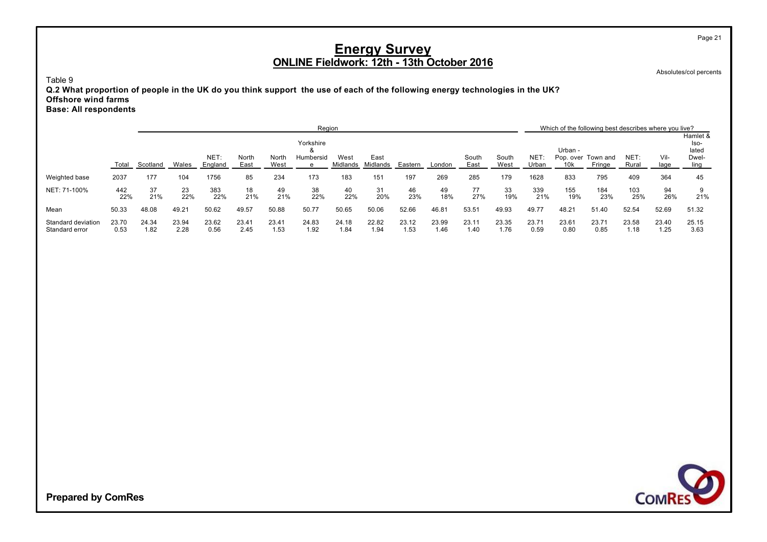Absolutes/col percents

Page 21

Table 9

**Q.2 What proportion of people in the UK do you think support the use of each of the following energy technologies in the UK? Offshore wind farms Base: All respondents**

|                                      |               |               |               |                 |               |               | Region                |                  |                  |               |               |               |               |                     |                              | Which of the following best describes where you live? |               |               |                           |
|--------------------------------------|---------------|---------------|---------------|-----------------|---------------|---------------|-----------------------|------------------|------------------|---------------|---------------|---------------|---------------|---------------------|------------------------------|-------------------------------------------------------|---------------|---------------|---------------------------|
|                                      |               |               |               |                 |               |               | Yorkshire<br>$\alpha$ |                  |                  |               |               |               |               |                     | Urban -                      |                                                       |               |               | Hamlet &<br>lso-<br>lated |
|                                      | Total         | Scotland      | Wales         | NET:<br>England | North<br>East | North<br>West | Humbersid<br>e        | West<br>Midlands | East<br>Midlands | Eastern       | London        | South<br>East | South<br>West | <b>NET</b><br>Urban | Pop. over<br>10 <sub>k</sub> | Town and<br>Fringe                                    | NET:<br>Rural | Vil-<br>lage  | Dwel-<br>ling             |
| Weighted base                        | 2037          | 177           | 104           | 1756            | 85            | 234           | 173                   | 183              | 151              | 197           | 269           | 285           | 179           | 1628                | 833                          | 795                                                   | 409           | 364           | 45                        |
| NET: 71-100%                         | 442<br>22%    | 37<br>21%     | 23<br>22%     | 383<br>22%      | 18<br>21%     | 49<br>21%     | 38<br>22%             | 40<br>22%        | 31<br>20%        | 46<br>23%     | 49<br>18%     | 77<br>27%     | 33<br>19%     | 339<br>21%          | 155<br>19%                   | 184<br>23%                                            | 103<br>25%    | 94<br>26%     | 21%                       |
| Mean                                 | 50.33         | 48.08         | 49.21         | 50.62           | 49.57         | 50.88         | 50.77                 | 50.65            | 50.06            | 52.66         | 46.81         | 53.51         | 49.93         | 49.77               | 48.21                        | 51.40                                                 | 52.54         | 52.69         | 51.32                     |
| Standard deviation<br>Standard error | 23.70<br>0.53 | 24.34<br>1.82 | 23.94<br>2.28 | 23.62<br>0.56   | 23.41<br>2.45 | 23.41<br>1.53 | 24.83<br>1.92         | 24.18<br>1.84    | 22.82<br>1.94    | 23.12<br>1.53 | 23.99<br>1.46 | 23.11<br>1.40 | 23.35<br>1.76 | 23.71<br>0.59       | 23.61<br>0.80                | 23.71<br>0.85                                         | 23.58<br>1.18 | 23.40<br>1.25 | 25.15<br>3.63             |

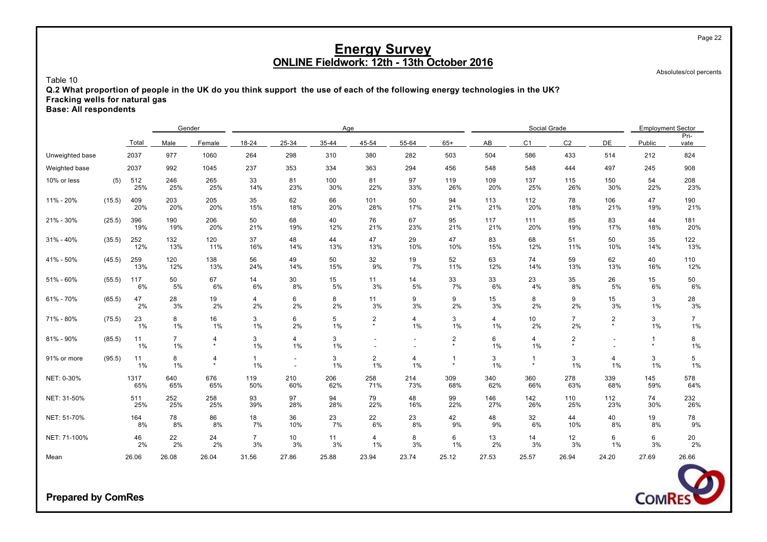Absolutes/col percents

#### Table 10

**Q.2 What proportion of people in the UK do you think support the use of each of the following energy technologies in the UK? Fracking wells for natural gas**

**Base: All respondents**

|                 |        |             | Gender               |              |                      |                                                      | Age        |                           |            |                           |            | Social Grade              |                      |                           | <b>Employment Sector</b> |                                          |
|-----------------|--------|-------------|----------------------|--------------|----------------------|------------------------------------------------------|------------|---------------------------|------------|---------------------------|------------|---------------------------|----------------------|---------------------------|--------------------------|------------------------------------------|
|                 |        | Total       | Male                 | Female       | 18-24                | 25-34                                                | 35-44      | 45-54                     | 55-64      | $65+$                     | AB         | C <sub>1</sub>            | C <sub>2</sub>       | <b>DE</b>                 | Public                   | Pri-<br>vate                             |
| Unweighted base |        | 2037        | 977                  | 1060         | 264                  | 298                                                  | 310        | 380                       | 282        | 503                       | 504        | 586                       | 433                  | 514                       | 212                      | 824                                      |
| Weighted base   |        | 2037        | 992                  | 1045         | 237                  | 353                                                  | 334        | 363                       | 294        | 456                       | 548        | 548                       | 444                  | 497                       | 245                      | 908                                      |
| 10% or less     | (5)    | 512<br>25%  | 246<br>25%           | 265<br>25%   | 33<br>14%            | 81<br>23%                                            | 100<br>30% | 81<br>22%                 | 97<br>33%  | 119<br>26%                | 109<br>20% | 137<br>25%                | 115<br>26%           | 150<br>30%                | 54<br>22%                | 208<br>23%                               |
| 11% - 20%       | (15.5) | 409<br>20%  | 203<br>20%           | 205<br>20%   | 35<br>15%            | 62<br>18%                                            | 66<br>20%  | 101<br>28%                | 50<br>17%  | 94<br>21%                 | 113<br>21% | 112<br>20%                | 78<br>18%            | 106<br>21%                | 47<br>19%                | 190<br>21%                               |
| 21% - 30%       | (25.5) | 396<br>19%  | 190<br>19%           | 206<br>20%   | 50<br>21%            | 68<br>19%                                            | 40<br>12%  | 76<br>21%                 | 67<br>23%  | 95<br>21%                 | 117<br>21% | 111<br>20%                | 85<br>19%            | 83<br>17%                 | 44<br>18%                | 181<br>20%                               |
| $31\% - 40\%$   | (35.5) | 252<br>12%  | 132<br>13%           | 120<br>11%   | 37<br>16%            | 48<br>14%                                            | 44<br>13%  | 47<br>13%                 | 29<br>10%  | 47<br>10%                 | 83<br>15%  | 68<br>12%                 | 51<br>11%            | 50<br>10%                 | 35<br>14%                | 122<br>13%                               |
| 41% - 50%       | (45.5) | 259<br>13%  | 120<br>12%           | 138<br>13%   | 56<br>24%            | 49<br>14%                                            | 50<br>15%  | 32<br>9%                  | 19<br>7%   | 52<br>11%                 | 63<br>12%  | 74<br>14%                 | 59<br>13%            | 62<br>13%                 | 40<br>16%                | 110<br>12%                               |
| 51% - 60%       | (55.5) | 117<br>6%   | 50<br>5%             | 67<br>6%     | 14<br>6%             | 30<br>8%                                             | 15<br>5%   | 11<br>3%                  | 14<br>5%   | 33<br>7%                  | 33<br>6%   | 23<br>4%                  | 35<br>8%             | 26<br>5%                  | 15<br>6%                 | 50<br>6%                                 |
| 61% - 70%       | (65.5) | 47<br>2%    | 28<br>3%             | 19<br>2%     | 4<br>2%              | 6<br>2%                                              | 8<br>2%    | 11<br>3%                  | 9<br>3%    | 9<br>2%                   | 15<br>3%   | 8<br>2%                   | 9<br>2%              | 15<br>3%                  | 3<br>$1\%$               | $\begin{array}{c} 28 \\ 3\% \end{array}$ |
| 71% - 80%       | (75.5) | 23<br>1%    | 8<br>1%              | 16<br>1%     | 3<br>$1\%$           | 6<br>2%                                              | 5<br>1%    | $\overline{2}$<br>$\star$ | 4<br>$1\%$ | 3<br>1%                   | 4<br>1%    | 10<br>2%                  | $\overline{7}$<br>2% | $\overline{2}$<br>$\star$ | 3<br>1%                  | $7^{\circ}$<br>$1\%$                     |
| 81% - 90%       | (85.5) | 11<br>1%    | $\overline{7}$<br>1% | 4<br>$\star$ | 3<br>1%              | 4<br>1%                                              | 3<br>$1\%$ |                           |            | $\overline{c}$<br>$\star$ | 6<br>1%    | 4<br>1%                   | 2<br>$\star$         |                           | $\mathbf{1}$<br>$\star$  | 8<br>1%                                  |
| 91% or more     | (95.5) | 11<br>1%    | 8<br>1%              | 4<br>$\star$ | 1<br>1%              | $\overline{\phantom{a}}$<br>$\overline{\phantom{a}}$ | 3<br>$1\%$ | $\overline{2}$<br>1%      | 4<br>1%    | 1<br>$\star$              | 3<br>1%    | $\overline{1}$<br>$\star$ | 3<br>1%              | 4<br>1%                   | 3<br>1%                  | 5<br>$1\%$                               |
| NET: 0-30%      |        | 1317<br>65% | 640<br>65%           | 676<br>65%   | 119<br>50%           | 210<br>60%                                           | 206<br>62% | 258<br>71%                | 214<br>73% | 309<br>68%                | 340<br>62% | 360<br>66%                | 278<br>63%           | 339<br>68%                | 145<br>59%               | 578<br>64%                               |
| NET: 31-50%     |        | 511<br>25%  | 252<br>25%           | 258<br>25%   | 93<br>39%            | 97<br>28%                                            | 94<br>28%  | 79<br>22%                 | 48<br>16%  | 99<br>22%                 | 146<br>27% | 142<br>26%                | 110<br>25%           | 112<br>23%                | 74<br>30%                | 232<br>26%                               |
| NET: 51-70%     |        | 164<br>8%   | 78<br>8%             | 86<br>8%     | 18<br>7%             | 36<br>10%                                            | 23<br>7%   | 22<br>6%                  | 23<br>8%   | 42<br>9%                  | 48<br>9%   | 32<br>6%                  | 44<br>10%            | 40<br>8%                  | 19<br>8%                 | 78<br>$9\%$                              |
| NET: 71-100%    |        | 46<br>2%    | 22<br>2%             | 24<br>2%     | $\overline{7}$<br>3% | 10<br>3%                                             | 11<br>3%   | $\overline{4}$<br>$1\%$   | 8<br>3%    | 6<br>1%                   | 13<br>2%   | 14<br>3%                  | 12<br>3%             | 6<br>1%                   | 6<br>3%                  | 20<br>2%                                 |
| Mean            |        | 26.06       | 26.08                | 26.04        | 31.56                | 27.86                                                | 25.88      | 23.94                     | 23.74      | 25.12                     | 27.53      | 25.57                     | 26.94                | 24.20                     | 27.69                    | 26.66                                    |



**Prepared by ComRes**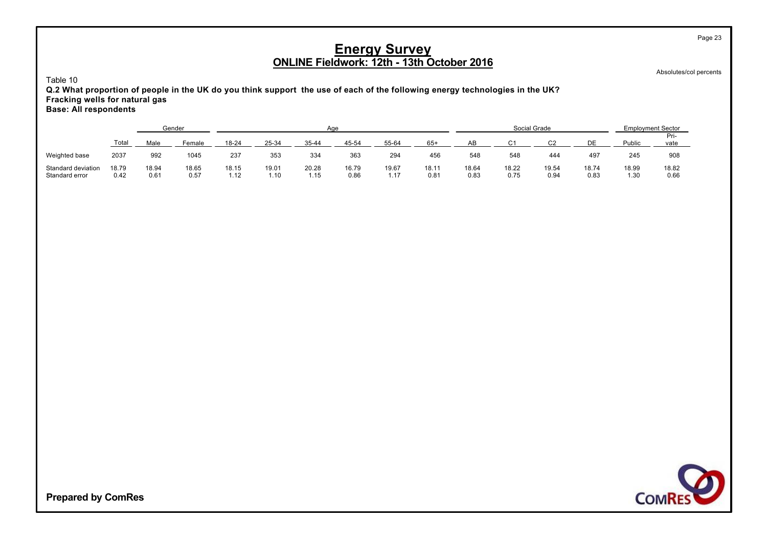Absolutes/col percents

Page 23

Table 10

**Q.2 What proportion of people in the UK do you think support the use of each of the following energy technologies in the UK? Fracking wells for natural gas Base: All respondents**

|                                      |               |               | Gender        |               |               | Age           |               |               |               |               | Social Grade  |               |               | <b>Employment Sector</b> |               |
|--------------------------------------|---------------|---------------|---------------|---------------|---------------|---------------|---------------|---------------|---------------|---------------|---------------|---------------|---------------|--------------------------|---------------|
|                                      | Total         | Male          | Female        | 18-24         | 25-34         | $35 - 44$     | 45-54         | 55-64         | $65+$         | AB            | $\sim$        | r۵            | ∩F            | Public                   | Pri-<br>vate  |
| Weighted base                        | 2037          | 992           | 1045          | 237           | 353           | 334           | 363           | 294           | 456           | 548           | 548           | 444           | 497           | 245                      | 908           |
| Standard deviation<br>Standard error | 18.79<br>0.42 | 18.94<br>0.61 | 18.65<br>0.57 | 18.15<br>1.12 | 19.01<br>1.10 | 20.28<br>1.15 | 16.79<br>0.86 | 19.67<br>1 17 | 18.11<br>0.81 | 18.64<br>0.83 | 18.22<br>0.75 | 19.54<br>0.94 | 18.74<br>0.83 | 18.99<br>1.30            | 18.82<br>0.66 |

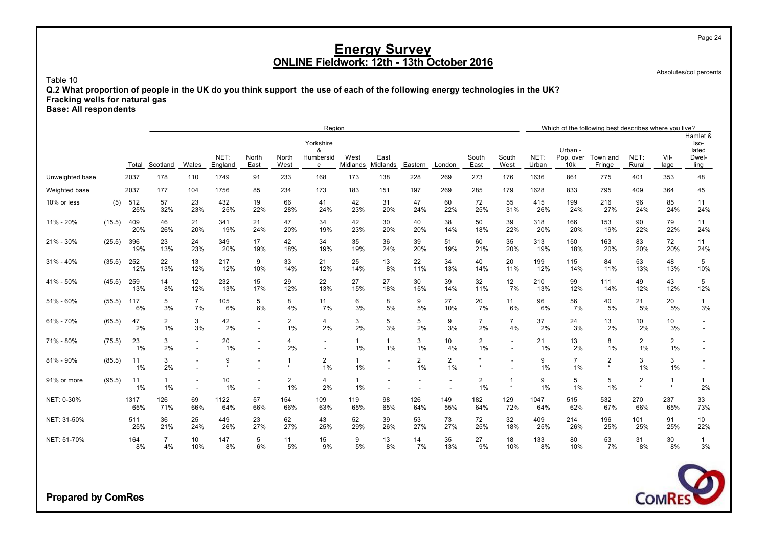Absolutes/col percents

Table 10

**Q.2 What proportion of people in the UK do you think support the use of each of the following energy technologies in the UK? Fracking wells for natural gas**

**Base: All respondents**

|                 |        |             |                    |                          |                 |                                    |                      | Region                           |                       |                                                      |                      |                      |                      |                           |               |                             | Which of the following best describes where you live? |                                    |                           |                                            |
|-----------------|--------|-------------|--------------------|--------------------------|-----------------|------------------------------------|----------------------|----------------------------------|-----------------------|------------------------------------------------------|----------------------|----------------------|----------------------|---------------------------|---------------|-----------------------------|-------------------------------------------------------|------------------------------------|---------------------------|--------------------------------------------|
|                 |        | Total       | Scotland           | Wales                    | NET:<br>England | North<br>East                      | North<br>West        | Yorkshire<br>8<br>Humbersid<br>e | West<br>Midlands      | East<br>Midlands                                     | Eastern              | London               | South<br>East        | South<br>West             | NET:<br>Urban | Urban -<br>Pop. over<br>10k | Town and<br>Fringe                                    | NET:<br>Rural                      | Vil-<br>lage              | Hamlet &<br>Iso-<br>lated<br>Dwel-<br>ling |
| Unweighted base |        | 2037        | 178                | 110                      | 1749            | 91                                 | 233                  | 168                              | 173                   | 138                                                  | 228                  | 269                  | 273                  | 176                       | 1636          | 861                         | 775                                                   | 401                                | 353                       | 48                                         |
| Weighted base   |        | 2037        | 177                | 104                      | 1756            | 85                                 | 234                  | 173                              | 183                   | 151                                                  | 197                  | 269                  | 285                  | 179                       | 1628          | 833                         | 795                                                   | 409                                | 364                       | 45                                         |
| 10% or less     | (5)    | 512<br>25%  | 57<br>32%          | 23<br>23%                | 432<br>25%      | 19<br>22%                          | 66<br>28%            | 41<br>24%                        | 42<br>23%             | 31<br>20%                                            | 47<br>24%            | 60<br>22%            | 72<br>25%            | 55<br>31%                 | 415<br>26%    | 199<br>24%                  | 216<br>27%                                            | 96<br>24%                          | 85<br>24%                 | 11<br>24%                                  |
| 11% - 20%       | (15.5) | 409<br>20%  | 46<br>26%          | 21<br>20%                | 341<br>19%      | 21<br>24%                          | 47<br>20%            | 34<br>19%                        | 42<br>23%             | 30<br>20%                                            | 40<br>20%            | 38<br>14%            | 50<br>18%            | 39<br>22%                 | 318<br>20%    | 166<br>20%                  | 153<br>19%                                            | 90<br>22%                          | 79<br>22%                 | 11<br>24%                                  |
| 21% - 30%       | (25.5) | 396<br>19%  | 23<br>13%          | 24<br>23%                | 349<br>20%      | 17<br>19%                          | 42<br>18%            | 34<br>19%                        | 35<br>19%             | 36<br>24%                                            | 39<br>20%            | 51<br>19%            | 60<br>21%            | 35<br>20%                 | 313<br>19%    | 150<br>18%                  | 163<br>20%                                            | 83<br>20%                          | 72<br>20%                 | 11<br>24%                                  |
| $31\% - 40\%$   | (35.5) | 252<br>12%  | 22<br>13%          | 13<br>12%                | 217<br>12%      | 9<br>10%                           | 33<br>14%            | 21<br>12%                        | 25<br>14%             | 13<br>8%                                             | 22<br>11%            | 34<br>13%            | 40<br>14%            | 20<br>11%                 | 199<br>12%    | 115<br>14%                  | 84<br>11%                                             | 53<br>13%                          | 48<br>13%                 | 5<br>10%                                   |
| 41% - 50%       | (45.5) | 259<br>13%  | 14<br>8%           | 12<br>12%                | 232<br>13%      | 15<br>17%                          | 29<br>12%            | 22<br>13%                        | 27<br>15%             | 27<br>18%                                            | 30<br>15%            | 39<br>14%            | 32<br>11%            | 12<br>7%                  | 210<br>13%    | 99<br>12%                   | 111<br>14%                                            | 49<br>12%                          | 43<br>12%                 | 5<br>12%                                   |
| 51% - 60%       | (55.5) | 117<br>6%   | 5<br>3%            | $\overline{7}$<br>7%     | 105<br>6%       | 5<br>6%                            | 8<br>4%              | 11<br>7%                         | 6<br>3%               | 8<br>5%                                              | 9<br>5%              | 27<br>10%            | 20<br>7%             | 11<br>6%                  | 96<br>6%      | 56<br>7%                    | 40<br>5%                                              | 21<br>5%                           | 20<br>5%                  | $\mathbf{1}$<br>3%                         |
| 61% - 70%       | (65.5) | 47<br>2%    | 2<br>1%            | 3<br>3%                  | 42<br>2%        | $\overline{\phantom{a}}$<br>$\sim$ | $\overline{2}$<br>1% | 4<br>2%                          | 3<br>2%               | 5<br>3%                                              | 5<br>2%              | 9<br>3%              | $\overline{7}$<br>2% | $\overline{7}$<br>4%      | 37<br>2%      | 24<br>3%                    | 13<br>2%                                              | 10<br>2%                           | 10<br>3%                  |                                            |
| 71% - 80%       | (75.5) | 23<br>1%    | 3<br>2%            |                          | 20<br>1%        |                                    | 4<br>2%              |                                  | $\mathbf{1}$<br>1%    | $\mathbf{1}$<br>$1\%$                                | 3<br>1%              | 10<br>4%             | 2<br>1%              | $\sim$                    | 21<br>$1\%$   | 13<br>2%                    | 8<br>1%                                               | $\overline{2}$<br>1%               | $\overline{c}$<br>1%      |                                            |
| 81% - 90%       | (85.5) | 11<br>1%    | 3<br>2%            |                          | 9<br>$\star$    |                                    | 1<br>$\star$         | 2<br>1%                          | $\mathbf{1}$<br>1%    | $\overline{\phantom{a}}$<br>$\blacksquare$           | $\overline{2}$<br>1% | $\overline{2}$<br>1% | $\star$<br>$\star$   |                           | 9<br>1%       | $\overline{7}$<br>1%        | $\overline{2}$<br>$\star$                             | 3<br>1%                            | 3<br>1%                   |                                            |
| 91% or more     | (95.5) | 11<br>1%    | $\mathbf{1}$<br>1% | $\overline{\phantom{a}}$ | 10<br>1%        | $\overline{\phantom{a}}$           | $\overline{2}$<br>1% | 4<br>2%                          | $\mathbf{1}$<br>$1\%$ | $\overline{\phantom{a}}$<br>$\overline{\phantom{a}}$ |                      |                      | 2<br>1%              | $\overline{1}$<br>$\star$ | 9<br>$1\%$    | 5<br>1%                     | 5<br>1%                                               | $\overline{\mathbf{c}}$<br>$\star$ | $\overline{1}$<br>$\star$ | $\mathbf{1}$<br>2%                         |
| NET: 0-30%      |        | 1317<br>65% | 126<br>71%         | 69<br>66%                | 1122<br>64%     | 57<br>66%                          | 154<br>66%           | 109<br>63%                       | 119<br>65%            | 98<br>65%                                            | 126<br>64%           | 149<br>55%           | 182<br>64%           | 129<br>72%                | 1047<br>64%   | 515<br>62%                  | 532<br>67%                                            | 270<br>66%                         | 237<br>65%                | 33<br>73%                                  |
| NET: 31-50%     |        | 511<br>25%  | 36<br>21%          | 25<br>24%                | 449<br>26%      | 23<br>27%                          | 62<br>27%            | 43<br>25%                        | 52<br>29%             | 39<br>26%                                            | 53<br>27%            | 73<br>27%            | 72<br>25%            | 32<br>18%                 | 409<br>25%    | 214<br>26%                  | 196<br>25%                                            | 101<br>25%                         | 91<br>25%                 | 10<br>22%                                  |
| NET: 51-70%     |        | 164<br>8%   | 7<br>4%            | 10<br>10%                | 147<br>8%       | 5<br>6%                            | 11<br>5%             | 15<br>9%                         | 9<br>5%               | 13<br>8%                                             | 14<br>7%             | 35<br>13%            | 27<br>9%             | 18<br>10%                 | 133<br>8%     | 80<br>10%                   | 53<br>7%                                              | 31<br>8%                           | 30<br>8%                  | $\mathbf{1}$<br>3%                         |



**Prepared by ComRes**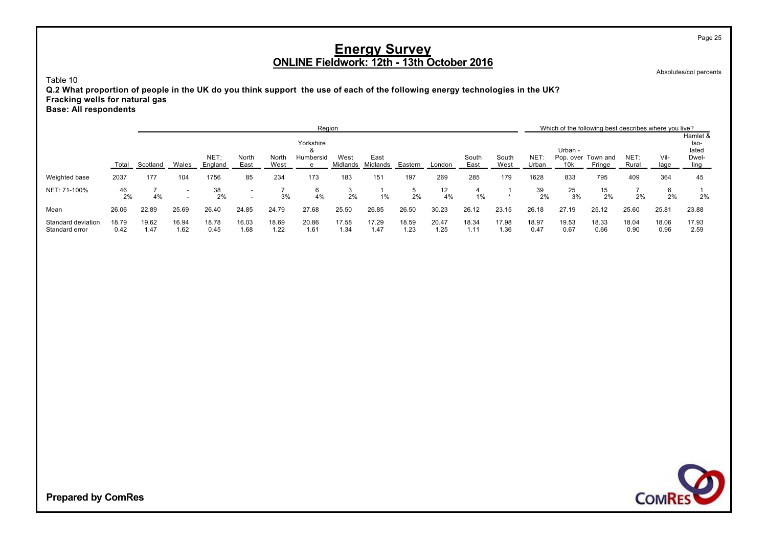Absolutes/col percents

Page 25

Table 10

**Q.2 What proportion of people in the UK do you think support the use of each of the following energy technologies in the UK? Fracking wells for natural gas Base: All respondents**

|                                      |               |               |               |                 |                                                      |               | Region         |                  |                  |               |               |               |               |               |                 | Which of the following best describes where you live? |               |               |                           |
|--------------------------------------|---------------|---------------|---------------|-----------------|------------------------------------------------------|---------------|----------------|------------------|------------------|---------------|---------------|---------------|---------------|---------------|-----------------|-------------------------------------------------------|---------------|---------------|---------------------------|
|                                      |               |               |               |                 |                                                      |               | Yorkshire      |                  |                  |               |               |               |               |               | Urban -         |                                                       |               |               | Hamlet &<br>lso-<br>lated |
|                                      | Total         | Scotland      | Wales         | NET:<br>England | North<br>East                                        | North<br>West | Humbersid<br>e | West<br>Midlands | East<br>Midlands | Eastern       | London        | South<br>East | South<br>West | NET:<br>Urban | 10 <sub>k</sub> | Pop. over Town and<br>Fringe                          | NET:<br>Rural | Vil-<br>lage  | Dwel-<br>ling             |
| Weighted base                        | 2037          | 177           | 104           | 1756            | 85                                                   | 234           | 173            | 183              | 151              | 197           | 269           | 285           | 179           | 1628          | 833             | 795                                                   | 409           | 364           | 45                        |
| NET: 71-100%                         | 46<br>2%      | 4%            | $\sim$        | 38<br>2%        | $\overline{\phantom{a}}$<br>$\overline{\phantom{a}}$ | 3%            | 6<br>4%        | 2%               | 1%               | 5<br>2%       | 12<br>4%      | 1%            | $\star$       | 39<br>2%      | 25<br>3%        | 15<br>2%                                              | 2%            | 2%            | 2%                        |
| Mean                                 | 26.06         | 22.89         | 25.69         | 26.40           | 24.85                                                | 24.79         | 27.68          | 25.50            | 26.85            | 26.50         | 30.23         | 26.12         | 23.15         | 26.18         | 27.19           | 25.12                                                 | 25.60         | 25.81         | 23.88                     |
| Standard deviation<br>Standard error | 18.79<br>0.42 | 19.62<br>1.47 | 16.94<br>1.62 | 18.78<br>0.45   | 16.03<br>1.68                                        | 18.69<br>1.22 | 20.86<br>1.61  | 17.58<br>1.34    | 17.29<br>1.47    | 18.59<br>1.23 | 20.47<br>1.25 | 18.34<br>1.11 | 17.98<br>1.36 | 18.97<br>0.47 | 19.53<br>0.67   | 18.33<br>0.66                                         | 18.04<br>0.90 | 18.06<br>0.96 | 17.93<br>2.59             |

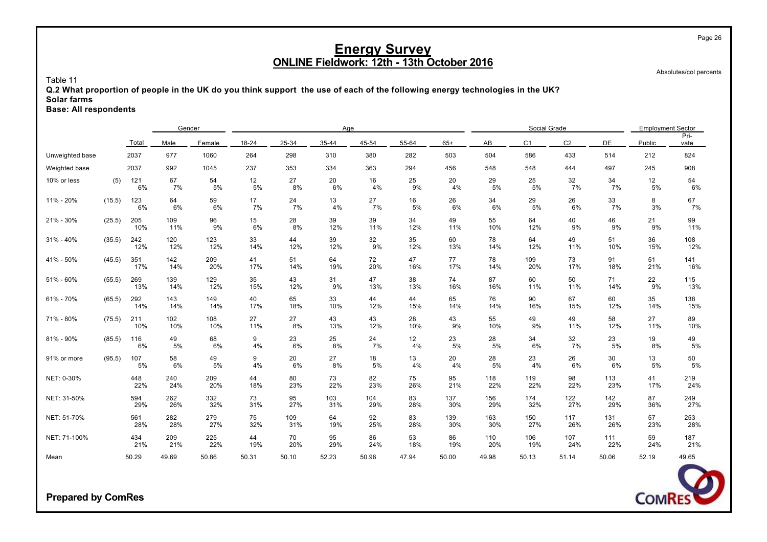Absolutes/col percents

Table 11

**Q.2 What proportion of people in the UK do you think support the use of each of the following energy technologies in the UK? Solar farms**

**Base: All respondents**

|                 |        |            | Gender     |            |           |            | Age        |            |           |            |            | Social Grade   |                |            | <b>Employment Sector</b> |              |
|-----------------|--------|------------|------------|------------|-----------|------------|------------|------------|-----------|------------|------------|----------------|----------------|------------|--------------------------|--------------|
|                 |        | Total      | Male       | Female     | 18-24     | 25-34      | 35-44      | 45-54      | 55-64     | $65+$      | AB         | C <sub>1</sub> | C <sub>2</sub> | DE         | Public                   | Pri-<br>vate |
| Unweighted base |        | 2037       | 977        | 1060       | 264       | 298        | 310        | 380        | 282       | 503        | 504        | 586            | 433            | 514        | 212                      | 824          |
| Weighted base   |        | 2037       | 992        | 1045       | 237       | 353        | 334        | 363        | 294       | 456        | 548        | 548            | 444            | 497        | 245                      | 908          |
| 10% or less     | (5)    | 121<br>6%  | 67<br>7%   | 54<br>5%   | 12<br>5%  | 27<br>8%   | 20<br>6%   | 16<br>4%   | 25<br>9%  | 20<br>4%   | 29<br>5%   | 25<br>5%       | 32<br>7%       | 34<br>7%   | 12<br>5%                 | 54<br>6%     |
| 11% - 20%       | (15.5) | 123<br>6%  | 64<br>6%   | 59<br>6%   | 17<br>7%  | 24<br>7%   | 13<br>4%   | 27<br>7%   | 16<br>5%  | 26<br>6%   | 34<br>6%   | 29<br>5%       | 26<br>6%       | 33<br>7%   | 8<br>3%                  | 67<br>7%     |
| 21% - 30%       | (25.5) | 205<br>10% | 109<br>11% | 96<br>9%   | 15<br>6%  | 28<br>8%   | 39<br>12%  | 39<br>11%  | 34<br>12% | 49<br>11%  | 55<br>10%  | 64<br>12%      | 40<br>9%       | 46<br>9%   | 21<br>9%                 | 99<br>11%    |
| 31% - 40%       | (35.5) | 242<br>12% | 120<br>12% | 123<br>12% | 33<br>14% | 44<br>12%  | 39<br>12%  | 32<br>9%   | 35<br>12% | 60<br>13%  | 78<br>14%  | 64<br>12%      | 49<br>11%      | 51<br>10%  | 36<br>15%                | 108<br>12%   |
| 41% - 50%       | (45.5) | 351<br>17% | 142<br>14% | 209<br>20% | 41<br>17% | 51<br>14%  | 64<br>19%  | 72<br>20%  | 47<br>16% | 77<br>17%  | 78<br>14%  | 109<br>20%     | 73<br>17%      | 91<br>18%  | 51<br>21%                | 141<br>16%   |
| 51% - 60%       | (55.5) | 269<br>13% | 139<br>14% | 129<br>12% | 35<br>15% | 43<br>12%  | 31<br>9%   | 47<br>13%  | 38<br>13% | 74<br>16%  | 87<br>16%  | 60<br>11%      | 50<br>11%      | 71<br>14%  | 22<br>9%                 | 115<br>13%   |
| 61% - 70%       | (65.5) | 292<br>14% | 143<br>14% | 149<br>14% | 40<br>17% | 65<br>18%  | 33<br>10%  | 44<br>12%  | 44<br>15% | 65<br>14%  | 76<br>14%  | 90<br>16%      | 67<br>15%      | 60<br>12%  | 35<br>14%                | 138<br>15%   |
| 71% - 80%       | (75.5) | 211<br>10% | 102<br>10% | 108<br>10% | 27<br>11% | 27<br>8%   | 43<br>13%  | 43<br>12%  | 28<br>10% | 43<br>9%   | 55<br>10%  | 49<br>9%       | 49<br>11%      | 58<br>12%  | 27<br>11%                | 89<br>10%    |
| 81% - 90%       | (85.5) | 116<br>6%  | 49<br>5%   | 68<br>6%   | 9<br>4%   | 23<br>6%   | 25<br>8%   | 24<br>7%   | 12<br>4%  | 23<br>5%   | 28<br>5%   | 34<br>6%       | 32<br>7%       | 23<br>5%   | 19<br>8%                 | 49<br>5%     |
| 91% or more     | (95.5) | 107<br>5%  | 58<br>6%   | 49<br>5%   | 9<br>4%   | 20<br>6%   | 27<br>8%   | 18<br>5%   | 13<br>4%  | 20<br>4%   | 28<br>5%   | 23<br>4%       | 26<br>6%       | 30<br>6%   | 13<br>5%                 | 50<br>5%     |
| NET: 0-30%      |        | 448<br>22% | 240<br>24% | 209<br>20% | 44<br>18% | 80<br>23%  | 73<br>22%  | 82<br>23%  | 75<br>26% | 95<br>21%  | 118<br>22% | 119<br>22%     | 98<br>22%      | 113<br>23% | 41<br>17%                | 219<br>24%   |
| NET: 31-50%     |        | 594<br>29% | 262<br>26% | 332<br>32% | 73<br>31% | 95<br>27%  | 103<br>31% | 104<br>29% | 83<br>28% | 137<br>30% | 156<br>29% | 174<br>32%     | 122<br>27%     | 142<br>29% | 87<br>36%                | 249<br>27%   |
| NET: 51-70%     |        | 561<br>28% | 282<br>28% | 279<br>27% | 75<br>32% | 109<br>31% | 64<br>19%  | 92<br>25%  | 83<br>28% | 139<br>30% | 163<br>30% | 150<br>27%     | 117<br>26%     | 131<br>26% | 57<br>23%                | 253<br>28%   |
| NET: 71-100%    |        | 434<br>21% | 209<br>21% | 225<br>22% | 44<br>19% | 70<br>20%  | 95<br>29%  | 86<br>24%  | 53<br>18% | 86<br>19%  | 110<br>20% | 106<br>19%     | 107<br>24%     | 111<br>22% | 59<br>24%                | 187<br>21%   |
| Mean            |        | 50.29      | 49.69      | 50.86      | 50.31     | 50.10      | 52.23      | 50.96      | 47.94     | 50.00      | 49.98      | 50.13          | 51.14          | 50.06      | 52.19                    | 49.65        |



**Prepared by ComRes**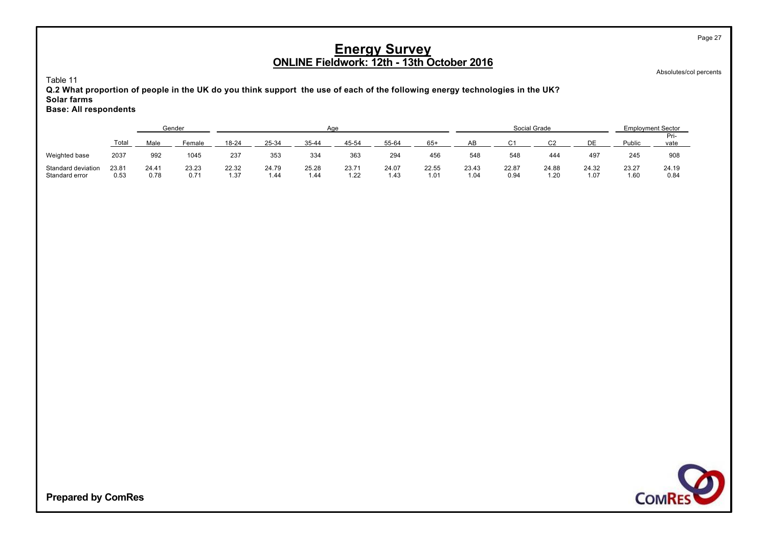Absolutes/col percents

Page 27

Table 11

**Q.2 What proportion of people in the UK do you think support the use of each of the following energy technologies in the UK? Solar farms Base: All respondents**

|                    |       |       | Gender |           |       |           | Aae   |       |       |       |        | Social Grade |       | <b>Employment Sector</b> |              |
|--------------------|-------|-------|--------|-----------|-------|-----------|-------|-------|-------|-------|--------|--------------|-------|--------------------------|--------------|
|                    | Total | Male  | Female | $18 - 24$ | 25-34 | $35 - 44$ | 45-54 | 55-64 | $65+$ | AB    | $\sim$ |              | DE    | Public                   | Pri-<br>vate |
| Weighted base      | 2037  | 992   | 1045   | 237       | 353   | 334       | 363   | 294   | 456   | 548   | 548    | 444          | 497   | 245                      | 908          |
| Standard deviation | 23.81 | 24.41 | 23.23  | 22.32     | 24.79 | 25.28     | 23.71 | 24.07 | 22.55 | 23.43 | 22.87  | 24.88        | 24.32 | 23.27                    | 24.19        |
| Standard error     | 0.53  | 0.78  | 0.71   | 1.37      | 1.44  | 1.44      | 1.22  | 1.43  | 1.01  | 1.04  | 0.94   | 1.20         | 1.07  | 1.60                     | 0.84         |

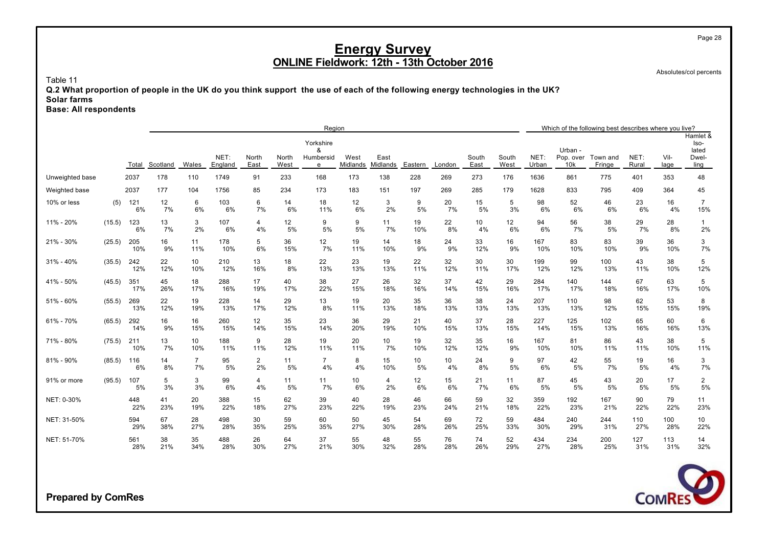Absolutes/col percents

Table 11

**Q.2 What proportion of people in the UK do you think support the use of each of the following energy technologies in the UK? Solar farms**

**Base: All respondents**

|                 |        |            |           |                      |                 |                      |               | Region                           |                  |                  |           |           |               |               |               |                             | Which of the following best describes where you live? |               |              |                                            |
|-----------------|--------|------------|-----------|----------------------|-----------------|----------------------|---------------|----------------------------------|------------------|------------------|-----------|-----------|---------------|---------------|---------------|-----------------------------|-------------------------------------------------------|---------------|--------------|--------------------------------------------|
|                 |        | Total      | Scotland  | Wales                | NET:<br>England | North<br>East        | North<br>West | Yorkshire<br>&<br>Humbersid<br>e | West<br>Midlands | East<br>Midlands | Eastern   | London    | South<br>East | South<br>West | NET:<br>Urban | Urban -<br>Pop. over<br>10k | Town and<br>Fringe                                    | NET:<br>Rural | Vil-<br>lage | Hamlet &<br>Iso-<br>lated<br>Dwel-<br>ling |
| Unweighted base |        | 2037       | 178       | 110                  | 1749            | 91                   | 233           | 168                              | 173              | 138              | 228       | 269       | 273           | 176           | 1636          | 861                         | 775                                                   | 401           | 353          | 48                                         |
| Weighted base   |        | 2037       | 177       | 104                  | 1756            | 85                   | 234           | 173                              | 183              | 151              | 197       | 269       | 285           | 179           | 1628          | 833                         | 795                                                   | 409           | 364          | 45                                         |
| 10% or less     | (5)    | 121<br>6%  | 12<br>7%  | 6<br>6%              | 103<br>6%       | 6<br>7%              | 14<br>6%      | 18<br>11%                        | 12<br>6%         | 3<br>2%          | 9<br>5%   | 20<br>7%  | 15<br>5%      | 5<br>3%       | 98<br>6%      | 52<br>6%                    | 46<br>6%                                              | 23<br>6%      | 16<br>4%     | $\overline{7}$<br>15%                      |
| 11% - 20%       | (15.5) | 123<br>6%  | 13<br>7%  | 3<br>2%              | 107<br>6%       | 4<br>4%              | 12<br>5%      | 9<br>5%                          | 9<br>5%          | 11<br>7%         | 19<br>10% | 22<br>8%  | 10<br>4%      | 12<br>6%      | 94<br>6%      | 56<br>7%                    | 38<br>5%                                              | 29<br>7%      | 28<br>8%     | $\mathbf{1}$<br>2%                         |
| 21% - 30%       | (25.5) | 205<br>10% | 16<br>9%  | 11<br>11%            | 178<br>10%      | 5<br>6%              | 36<br>15%     | 12<br>7%                         | 19<br>11%        | 14<br>10%        | 18<br>9%  | 24<br>9%  | 33<br>12%     | 16<br>9%      | 167<br>10%    | 83<br>10%                   | 83<br>10%                                             | 39<br>9%      | 36<br>10%    | 3<br>7%                                    |
| $31\% - 40\%$   | (35.5) | 242<br>12% | 22<br>12% | 10<br>10%            | 210<br>12%      | 13<br>16%            | 18<br>8%      | 22<br>13%                        | 23<br>13%        | 19<br>13%        | 22<br>11% | 32<br>12% | 30<br>11%     | 30<br>17%     | 199<br>12%    | 99<br>12%                   | 100<br>13%                                            | 43<br>11%     | 38<br>10%    | 5<br>12%                                   |
| 41% - 50%       | (45.5) | 351<br>17% | 45<br>26% | 18<br>17%            | 288<br>16%      | 17<br>19%            | 40<br>17%     | 38<br>22%                        | 27<br>15%        | 26<br>18%        | 32<br>16% | 37<br>14% | 42<br>15%     | 29<br>16%     | 284<br>17%    | 140<br>17%                  | 144<br>18%                                            | 67<br>16%     | 63<br>17%    | 5<br>10%                                   |
| 51% - 60%       | (55.5) | 269<br>13% | 22<br>12% | 19<br>19%            | 228<br>13%      | 14<br>17%            | 29<br>12%     | 13<br>8%                         | 19<br>11%        | 20<br>13%        | 35<br>18% | 36<br>13% | 38<br>13%     | 24<br>13%     | 207<br>13%    | 110<br>13%                  | 98<br>12%                                             | 62<br>15%     | 53<br>15%    | 8<br>19%                                   |
| 61% - 70%       | (65.5) | 292<br>14% | 16<br>9%  | 16<br>15%            | 260<br>15%      | 12<br>14%            | 35<br>15%     | 23<br>14%                        | 36<br>20%        | 29<br>19%        | 21<br>10% | 40<br>15% | 37<br>13%     | 28<br>15%     | 227<br>14%    | 125<br>15%                  | 102<br>13%                                            | 65<br>16%     | 60<br>16%    | 6<br>13%                                   |
| 71% - 80%       | (75.5) | 211<br>10% | 13<br>7%  | 10<br>10%            | 188<br>11%      | 9<br>11%             | 28<br>12%     | 19<br>11%                        | 20<br>11%        | 10<br>7%         | 19<br>10% | 32<br>12% | 35<br>12%     | 16<br>9%      | 167<br>10%    | 81<br>10%                   | 86<br>11%                                             | 43<br>11%     | 38<br>10%    | 5<br>11%                                   |
| 81% - 90%       | (85.5) | 116<br>6%  | 14<br>8%  | $\overline{7}$<br>7% | 95<br>5%        | $\overline{c}$<br>2% | 11<br>5%      | $\overline{7}$<br>4%             | 8<br>4%          | 15<br>10%        | 10<br>5%  | 10<br>4%  | 24<br>8%      | 9<br>5%       | 97<br>6%      | 42<br>5%                    | 55<br>7%                                              | 19<br>5%      | 16<br>4%     | 3<br>7%                                    |
| 91% or more     | (95.5) | 107<br>5%  | 5<br>3%   | 3<br>3%              | 99<br>6%        | 4<br>4%              | 11<br>5%      | 11<br>7%                         | 10<br>6%         | 4<br>2%          | 12<br>6%  | 15<br>6%  | 21<br>7%      | 11<br>6%      | 87<br>5%      | 45<br>5%                    | 43<br>5%                                              | 20<br>5%      | 17<br>5%     | $\overline{c}$<br>5%                       |
| NET: 0-30%      |        | 448<br>22% | 41<br>23% | 20<br>19%            | 388<br>22%      | 15<br>18%            | 62<br>27%     | 39<br>23%                        | 40<br>22%        | 28<br>19%        | 46<br>23% | 66<br>24% | 59<br>21%     | 32<br>18%     | 359<br>22%    | 192<br>23%                  | 167<br>21%                                            | 90<br>22%     | 79<br>22%    | 11<br>23%                                  |
| NET: 31-50%     |        | 594<br>29% | 67<br>38% | 28<br>27%            | 498<br>28%      | 30<br>35%            | 59<br>25%     | 60<br>35%                        | 50<br>27%        | 45<br>30%        | 54<br>28% | 69<br>26% | 72<br>25%     | 59<br>33%     | 484<br>30%    | 240<br>29%                  | 244<br>31%                                            | 110<br>27%    | 100<br>28%   | 10<br>22%                                  |
| NET: 51-70%     |        | 561<br>28% | 38<br>21% | 35<br>34%            | 488<br>28%      | 26<br>30%            | 64<br>27%     | 37<br>21%                        | 55<br>30%        | 48<br>32%        | 55<br>28% | 76<br>28% | 74<br>26%     | 52<br>29%     | 434<br>27%    | 234<br>28%                  | 200<br>25%                                            | 127<br>31%    | 113<br>31%   | 14<br>32%                                  |



**Prepared by ComRes**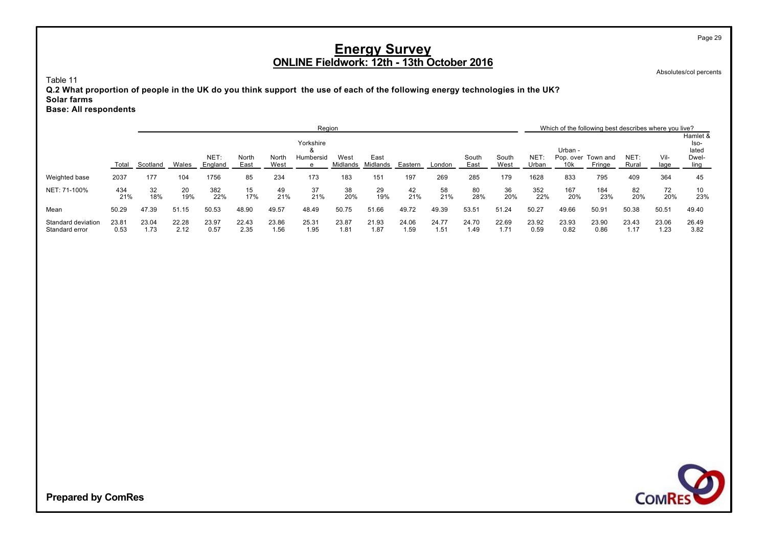Absolutes/col percents

Page 29

Table 11

**Q.2 What proportion of people in the UK do you think support the use of each of the following energy technologies in the UK? Solar farms Base: All respondents**

|                                      |               |               |               |               |               |               | Region                 |               |               |               |               |               |               |               |               | Which of the following best describes where you live? |               |               |                                    |
|--------------------------------------|---------------|---------------|---------------|---------------|---------------|---------------|------------------------|---------------|---------------|---------------|---------------|---------------|---------------|---------------|---------------|-------------------------------------------------------|---------------|---------------|------------------------------------|
|                                      |               |               |               | NET:          | North         | North         | Yorkshire<br>Humbersid | West          | East          |               |               | South         | South         | <b>NET</b>    | Urban -       | Pop. over Town and                                    | NET:          | Vil-          | Hamlet &<br>lso-<br>lated<br>Dwel- |
|                                      | Total         | Scotland      | Wales         | England       | East          | West          | e                      | Midlands      | Midlands      | Eastern       | London        | East          | West          | Urban         | 10k           | Fringe                                                | Rural         | lage          | ling                               |
| Weighted base                        | 2037          | 177           | 104           | 1756          | 85            | 234           | 173                    | 183           | 151           | 197           | 269           | 285           | 179           | 1628          | 833           | 795                                                   | 409           | 364           | 45                                 |
| NET: 71-100%                         | 434<br>21%    | 32<br>18%     | 20<br>19%     | 382<br>22%    | 15<br>17%     | 49<br>21%     | 37<br>21%              | 38<br>20%     | 29<br>19%     | 42<br>21%     | 58<br>21%     | 80<br>28%     | 36<br>20%     | 352<br>22%    | 167<br>20%    | 184<br>23%                                            | 82<br>20%     | 72<br>20%     | 10<br>23%                          |
| Mean                                 | 50.29         | 47.39         | 51.15         | 50.53         | 48.90         | 49.57         | 48.49                  | 50.75         | 51.66         | 49.72         | 49.39         | 53.51         | 51.24         | 50.27         | 49.66         | 50.91                                                 | 50.38         | 50.51         | 49.40                              |
| Standard deviation<br>Standard error | 23.81<br>0.53 | 23.04<br>1.73 | 22.28<br>2.12 | 23.97<br>0.57 | 22.43<br>2.35 | 23.86<br>1.56 | 25.31<br>1.95          | 23.87<br>1.81 | 21.93<br>1.87 | 24.06<br>1.59 | 24.77<br>1.51 | 24.70<br>1.49 | 22.69<br>1.71 | 23.92<br>0.59 | 23.93<br>0.82 | 23.90<br>0.86                                         | 23.43<br>1.17 | 23.06<br>1.23 | 26.49<br>3.82                      |

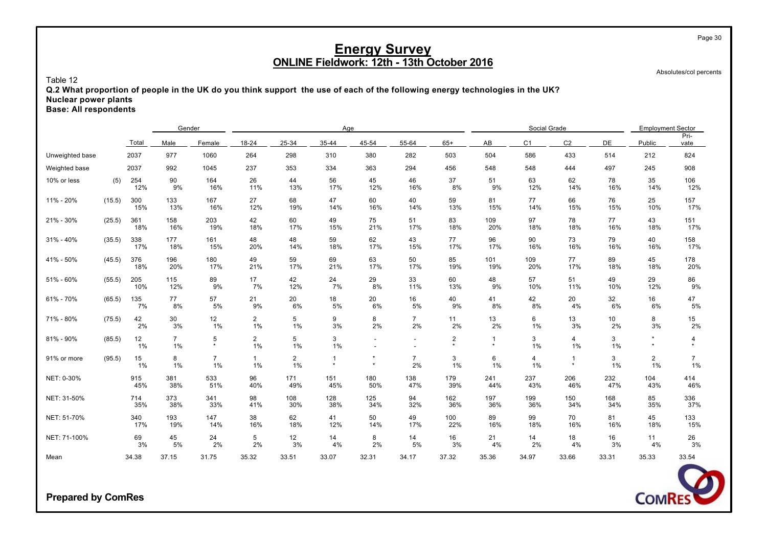Absolutes/col percents

Table 12

**Q.2 What proportion of people in the UK do you think support the use of each of the following energy technologies in the UK? Nuclear power plants**

**Base: All respondents**

| Total           |        |            | Gender               |                      |                      |                         | Age          |                    |                      |                           |                           | Social Grade   |                           |            | <b>Employment Sector</b>      |                      |
|-----------------|--------|------------|----------------------|----------------------|----------------------|-------------------------|--------------|--------------------|----------------------|---------------------------|---------------------------|----------------|---------------------------|------------|-------------------------------|----------------------|
|                 |        |            | Male                 | Female               | 18-24                | 25-34                   | 35-44        | 45-54              | 55-64                | $65+$                     | AB                        | C <sub>1</sub> | C <sub>2</sub>            | DE         | Public                        | Pri-<br>vate         |
| Unweighted base |        | 2037       | 977                  | 1060                 | 264                  | 298                     | 310          | 380                | 282                  | 503                       | 504                       | 586            | 433                       | 514        | 212                           | 824                  |
| Weighted base   |        | 2037       | 992                  | 1045                 | 237                  | 353                     | 334          | 363                | 294                  | 456                       | 548                       | 548            | 444                       | 497        | 245                           | 908                  |
| 10% or less     | (5)    | 254<br>12% | 90<br>9%             | 164<br>16%           | 26<br>11%            | 44<br>13%               | 56<br>17%    | 45<br>12%          | 46<br>16%            | 37<br>8%                  | 51<br>9%                  | 63<br>12%      | 62<br>14%                 | 78<br>16%  | 35<br>14%                     | 106<br>12%           |
| 11% - 20%       | (15.5) | 300<br>15% | 133<br>13%           | 167<br>16%           | 27<br>12%            | 68<br>19%               | 47<br>14%    | 60<br>16%          | 40<br>14%            | 59<br>13%                 | 81<br>15%                 | 77<br>14%      | 66<br>15%                 | 76<br>15%  | 25<br>10%                     | 157<br>17%           |
| 21% - 30%       | (25.5) | 361<br>18% | 158<br>16%           | 203<br>19%           | 42<br>18%            | 60<br>17%               | 49<br>15%    | 75<br>21%          | 51<br>17%            | 83<br>18%                 | 109<br>20%                | 97<br>18%      | 78<br>18%                 | 77<br>16%  | 43<br>18%                     | 151<br>17%           |
| $31\% - 40\%$   | (35.5) | 338<br>17% | 177<br>18%           | 161<br>15%           | 48<br>20%            | 48<br>14%               | 59<br>18%    | 62<br>17%          | 43<br>15%            | 77<br>17%                 | 96<br>17%                 | 90<br>16%      | 73<br>16%                 | 79<br>16%  | 40<br>16%                     | 158<br>17%           |
| 41% - 50%       | (45.5) | 376<br>18% | 196<br>20%           | 180<br>17%           | 49<br>21%            | 59<br>17%               | 69<br>21%    | 63<br>17%          | 50<br>17%            | 85<br>19%                 | 101<br>19%                | 109<br>20%     | 77<br>17%                 | 89<br>18%  | 45<br>18%                     | 178<br>20%           |
| 51% - 60%       | (55.5) | 205<br>10% | 115<br>12%           | 89<br>9%             | 17<br>7%             | 42<br>12%               | 24<br>7%     | 29<br>8%           | 33<br>11%            | 60<br>13%                 | 48<br>9%                  | 57<br>10%      | 51<br>11%                 | 49<br>10%  | 29<br>12%                     | 86<br>9%             |
| 61% - 70%       | (65.5) | 135<br>7%  | 77<br>8%             | 57<br>5%             | 21<br>9%             | 20<br>6%                | 18<br>5%     | 20<br>6%           | 16<br>5%             | 40<br>9%                  | 41<br>8%                  | 42<br>8%       | 20<br>4%                  | 32<br>6%   | 16<br>6%                      | 47<br>$5\%$          |
| 71% - 80%       | (75.5) | 42<br>2%   | 30<br>3%             | 12<br>1%             | $\overline{2}$<br>1% | 5<br>1%                 | 9<br>3%      | 8<br>2%            | $\overline{7}$<br>2% | 11<br>2%                  | 13<br>2%                  | 6<br>1%        | 13<br>3%                  | 10<br>2%   | 8<br>3%                       | 15<br>2%             |
| 81% - 90%       | (85.5) | 12<br>1%   | $\overline{7}$<br>1% | 5<br>$\star$         | $\overline{2}$<br>1% | 5<br>1%                 | 3<br>1%      |                    |                      | $\overline{2}$<br>$\star$ | $\overline{1}$<br>$\star$ | 3<br>1%        | $\overline{4}$<br>1%      | 3<br>1%    | $\star$<br>$\star$            | 4                    |
| 91% or more     | (95.5) | 15<br>1%   | 8<br>1%              | $\overline{7}$<br>1% | $\mathbf{1}$<br>1%   | $\overline{2}$<br>$1\%$ | -1<br>$\Phi$ | $\star$<br>$\star$ | $\overline{7}$<br>2% | 3<br>1%                   | 6<br>1%                   | 4<br>1%        | $\overline{1}$<br>$\star$ | 3<br>1%    | $\overline{\mathbf{c}}$<br>1% | $\overline{7}$<br>1% |
| NET: 0-30%      |        | 915<br>45% | 381<br>38%           | 533<br>51%           | 96<br>40%            | 171<br>49%              | 151<br>45%   | 180<br>50%         | 138<br>47%           | 179<br>39%                | 241<br>44%                | 237<br>43%     | 206<br>46%                | 232<br>47% | 104<br>43%                    | 414<br>46%           |
| NET: 31-50%     |        | 714<br>35% | 373<br>38%           | 341<br>33%           | 98<br>41%            | 108<br>30%              | 128<br>38%   | 125<br>34%         | 94<br>32%            | 162<br>36%                | 197<br>36%                | 199<br>36%     | 150<br>34%                | 168<br>34% | 85<br>35%                     | 336<br>37%           |
| NET: 51-70%     |        | 340<br>17% | 193<br>19%           | 147<br>14%           | 38<br>16%            | 62<br>18%               | 41<br>12%    | 50<br>14%          | 49<br>17%            | 100<br>22%                | 89<br>16%                 | 99<br>18%      | 70<br>16%                 | 81<br>16%  | 45<br>18%                     | 133<br>15%           |
| NET: 71-100%    |        | 69<br>3%   | 45<br>5%             | 24<br>2%             | 5<br>2%              | 12<br>3%                | 14<br>4%     | 8<br>2%            | 14<br>5%             | 16<br>3%                  | 21<br>4%                  | 14<br>2%       | 18<br>4%                  | 16<br>3%   | 11<br>4%                      | 26<br>3%             |
| Mean            |        | 34.38      | 37.15                | 31.75                | 35.32                | 33.51                   | 33.07        | 32.31              | 34.17                | 37.32                     | 35.36                     | 34.97          | 33.66                     | 33.31      | 35.33                         | 33.54                |

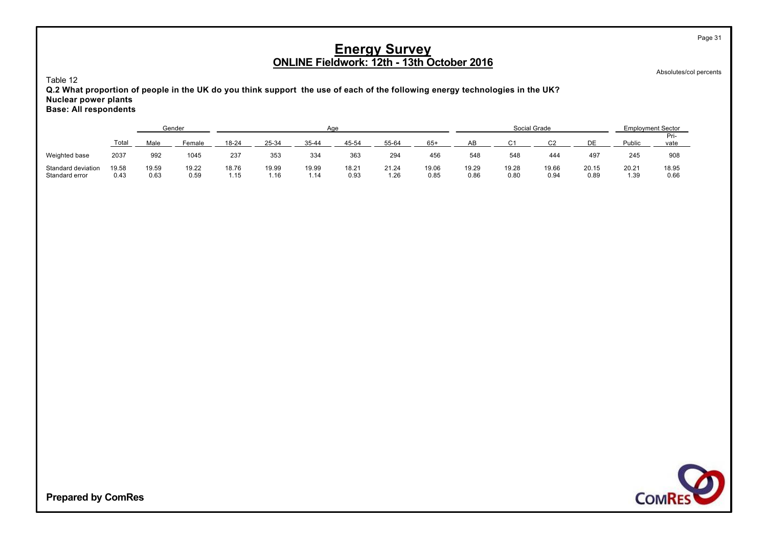Absolutes/col percents

Table 12

**Q.2 What proportion of people in the UK do you think support the use of each of the following energy technologies in the UK? Nuclear power plants Base: All respondents**

|                                      |               |               | Gender        |               |               | Age           |               |               |               |               | Social Grade  |               |               | <b>Employment Sector</b> |               |
|--------------------------------------|---------------|---------------|---------------|---------------|---------------|---------------|---------------|---------------|---------------|---------------|---------------|---------------|---------------|--------------------------|---------------|
|                                      | $\tau$ otal   | Male          | Female        | 18-24         | 25-34         | 35-44         | 45-54         | 55-64         | $65+$         | AB            | $\sim$        | r۵            | DΕ            | Public                   | Pri-<br>vate  |
| Weighted base                        | 2037          | 992           | 1045          | 237           | 353           | 334           | 363           | 294           | 456           | 548           | 548           | 444           | 497           | 245                      | 908           |
| Standard deviation<br>Standard error | 19.58<br>0.43 | 19.59<br>0.63 | 19.22<br>0.59 | 18.76<br>1.15 | 19.99<br>1.16 | 19.99<br>1.14 | 18.21<br>0.93 | 21.24<br>1.26 | 19.06<br>0.85 | 19.29<br>0.86 | 19.28<br>0.80 | 19.66<br>0.94 | 20.15<br>0.89 | 20.21<br>1.39            | 18.95<br>0.66 |

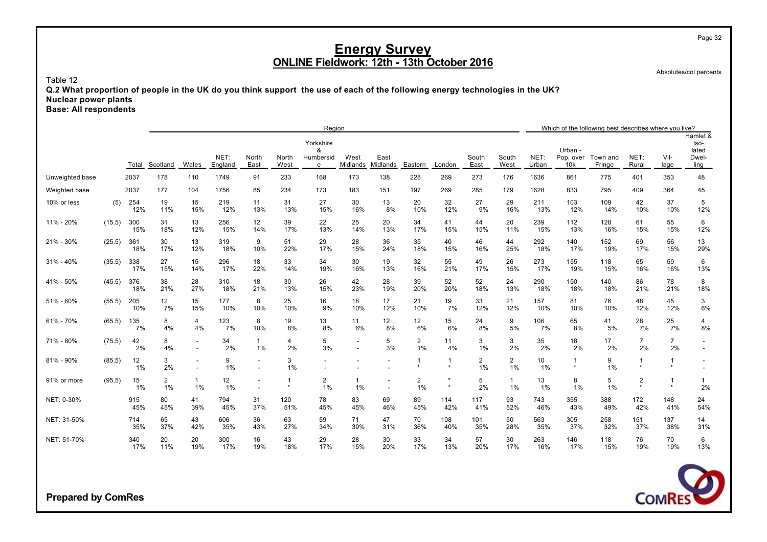Absolutes/col percents

Page 32

Table 12

**Q.2 What proportion of people in the UK do you think support the use of each of the following energy technologies in the UK? Nuclear power plants**

**Base: All respondents**

|                 |        |            |                      |                       |                 |                                                      |               | Region                           |                          |                                                      |                      |            |                               |                       |               |                             | Which of the following best describes where you live? |                                    |                           |                                            |
|-----------------|--------|------------|----------------------|-----------------------|-----------------|------------------------------------------------------|---------------|----------------------------------|--------------------------|------------------------------------------------------|----------------------|------------|-------------------------------|-----------------------|---------------|-----------------------------|-------------------------------------------------------|------------------------------------|---------------------------|--------------------------------------------|
|                 |        | Total      | Scotland             | Wales                 | NET:<br>England | North<br>East                                        | North<br>West | Yorkshire<br>8<br>Humbersid<br>e | West<br>Midlands         | East<br>Midlands                                     | Eastern              | London     | South<br>East                 | South<br>West         | NET:<br>Urban | Urban -<br>Pop. over<br>10k | Town and<br>Fringe                                    | NET:<br>Rural                      | Vil-<br>lage              | Hamlet &<br>Iso-<br>lated<br>Dwel-<br>ling |
| Unweighted base |        | 2037       | 178                  | 110                   | 1749            | 91                                                   | 233           | 168                              | 173                      | 138                                                  | 228                  | 269        | 273                           | 176                   | 1636          | 861                         | 775                                                   | 401                                | 353                       | 48                                         |
| Weighted base   |        | 2037       | 177                  | 104                   | 1756            | 85                                                   | 234           | 173                              | 183                      | 151                                                  | 197                  | 269        | 285                           | 179                   | 1628          | 833                         | 795                                                   | 409                                | 364                       | 45                                         |
| 10% or less     | (5)    | 254<br>12% | 19<br>11%            | 15<br>15%             | 219<br>12%      | 11<br>13%                                            | 31<br>13%     | 27<br>15%                        | 30<br>16%                | 13<br>8%                                             | 20<br>10%            | 32<br>12%  | 27<br>9%                      | 29<br>16%             | 211<br>13%    | 103<br>12%                  | 109<br>14%                                            | 42<br>10%                          | 37<br>10%                 | 5<br>12%                                   |
| 11% - 20%       | (15.5) | 300<br>15% | 31<br>18%            | 13<br>12%             | 256<br>15%      | 12<br>14%                                            | 39<br>17%     | 22<br>13%                        | 25<br>14%                | 20<br>13%                                            | 34<br>17%            | 41<br>15%  | 44<br>15%                     | 20<br>11%             | 239<br>15%    | 112<br>13%                  | 128<br>16%                                            | 61<br>15%                          | 55<br>15%                 | 6<br>12%                                   |
| 21% - 30%       | (25.5) | 361<br>18% | 30<br>17%            | 13<br>12%             | 319<br>18%      | 9<br>10%                                             | 51<br>22%     | 29<br>17%                        | 28<br>15%                | 36<br>24%                                            | 35<br>18%            | 40<br>15%  | 46<br>16%                     | 44<br>25%             | 292<br>18%    | 140<br>17%                  | 152<br>19%                                            | 69<br>17%                          | 56<br>15%                 | 13<br>29%                                  |
| $31\% - 40\%$   | (35.5) | 338<br>17% | 27<br>15%            | 15<br>14%             | 296<br>17%      | 18<br>22%                                            | 33<br>14%     | 34<br>19%                        | 30<br>16%                | 19<br>13%                                            | 32<br>16%            | 55<br>21%  | 49<br>17%                     | 26<br>15%             | 273<br>17%    | 155<br>19%                  | 118<br>15%                                            | 65<br>16%                          | 59<br>16%                 | 6<br>13%                                   |
| 41% - 50%       | (45.5) | 376<br>18% | 38<br>21%            | 28<br>27%             | 310<br>18%      | 18<br>21%                                            | 30<br>13%     | 26<br>15%                        | 42<br>23%                | 28<br>19%                                            | 39<br>20%            | 52<br>20%  | 52<br>18%                     | 24<br>13%             | 290<br>18%    | 150<br>18%                  | 140<br>18%                                            | 86<br>21%                          | 78<br>21%                 | 8<br>18%                                   |
| 51% - 60%       | (55.5) | 205<br>10% | 12<br>7%             | 15<br>15%             | 177<br>10%      | 8<br>10%                                             | 25<br>10%     | 16<br>9%                         | 18<br>10%                | 17<br>12%                                            | 21<br>10%            | 19<br>7%   | 33<br>12%                     | 21<br>12%             | 157<br>10%    | 81<br>10%                   | 76<br>10%                                             | 48<br>12%                          | 45<br>12%                 | 3<br>6%                                    |
| 61% - 70%       | (65.5) | 135<br>7%  | 8<br>4%              | 4<br>4%               | 123<br>7%       | 8<br>10%                                             | 19<br>8%      | 13<br>8%                         | 11<br>6%                 | 12<br>8%                                             | 12<br>6%             | 15<br>6%   | 24<br>8%                      | 9<br>5%               | 106<br>7%     | 65<br>8%                    | 41<br>5%                                              | 28<br>7%                           | 25<br>7%                  | 4<br>8%                                    |
| 71% - 80%       | (75.5) | 42<br>2%   | 8<br>4%              |                       | 34<br>2%        | $\mathbf{1}$<br>1%                                   | 4<br>2%       | 5<br>3%                          | $\overline{\phantom{a}}$ | 5<br>3%                                              | 2<br>1%              | 11<br>4%   | 3<br>1%                       | 3<br>2%               | 35<br>2%      | 18<br>2%                    | 17<br>2%                                              | $\overline{7}$<br>2%               | $\overline{7}$<br>2%      |                                            |
| 81% - 90%       | (85.5) | 12<br>1%   | 3<br>2%              |                       | 9<br>$1\%$      | $\overline{\phantom{a}}$<br>$\overline{\phantom{a}}$ | 3<br>1%       |                                  |                          | $\overline{a}$                                       | -1                   | -1         | $\overline{\mathbf{c}}$<br>1% | $\overline{2}$<br>1%  | 10<br>$1\%$   | -1<br>$\star$               | 9<br>1%                                               | -1                                 | -1                        |                                            |
| 91% or more     | (95.5) | 15<br>1%   | $\overline{2}$<br>1% | $\mathbf{1}$<br>$1\%$ | 12<br>$1\%$     |                                                      | $\star$       | $\overline{2}$<br>1%             | $1\%$                    | $\overline{\phantom{a}}$<br>$\overline{\phantom{a}}$ | $\overline{2}$<br>1% |            | 5<br>2%                       | $\mathbf{1}$<br>$1\%$ | 13<br>$1\%$   | 8<br>1%                     | 5<br>1%                                               | $\overline{\mathbf{c}}$<br>$\star$ | $\overline{1}$<br>$\star$ | 1<br>2%                                    |
| NET: 0-30%      |        | 915<br>45% | 80<br>45%            | 41<br>39%             | 794<br>45%      | 31<br>37%                                            | 120<br>51%    | 78<br>45%                        | 83<br>45%                | 69<br>46%                                            | 89<br>45%            | 114<br>42% | 117<br>41%                    | 93<br>52%             | 743<br>46%    | 355<br>43%                  | 388<br>49%                                            | 172<br>42%                         | 148<br>41%                | 24<br>54%                                  |
| NET: 31-50%     |        | 714<br>35% | 65<br>37%            | 43<br>42%             | 606<br>35%      | 36<br>43%                                            | 63<br>27%     | 59<br>34%                        | 71<br>39%                | 47<br>31%                                            | 70<br>36%            | 108<br>40% | 101<br>35%                    | 50<br>28%             | 563<br>35%    | 305<br>37%                  | 258<br>32%                                            | 151<br>37%                         | 137<br>38%                | 14<br>31%                                  |
| NET: 51-70%     |        | 340<br>17% | 20<br>11%            | 20<br>19%             | 300<br>17%      | 16<br>19%                                            | 43<br>18%     | 29<br>17%                        | 28<br>15%                | 30<br>20%                                            | 33<br>17%            | 34<br>13%  | 57<br>20%                     | 30<br>17%             | 263<br>16%    | 146<br>17%                  | 118<br>15%                                            | 76<br>19%                          | 70<br>19%                 | 6<br>13%                                   |